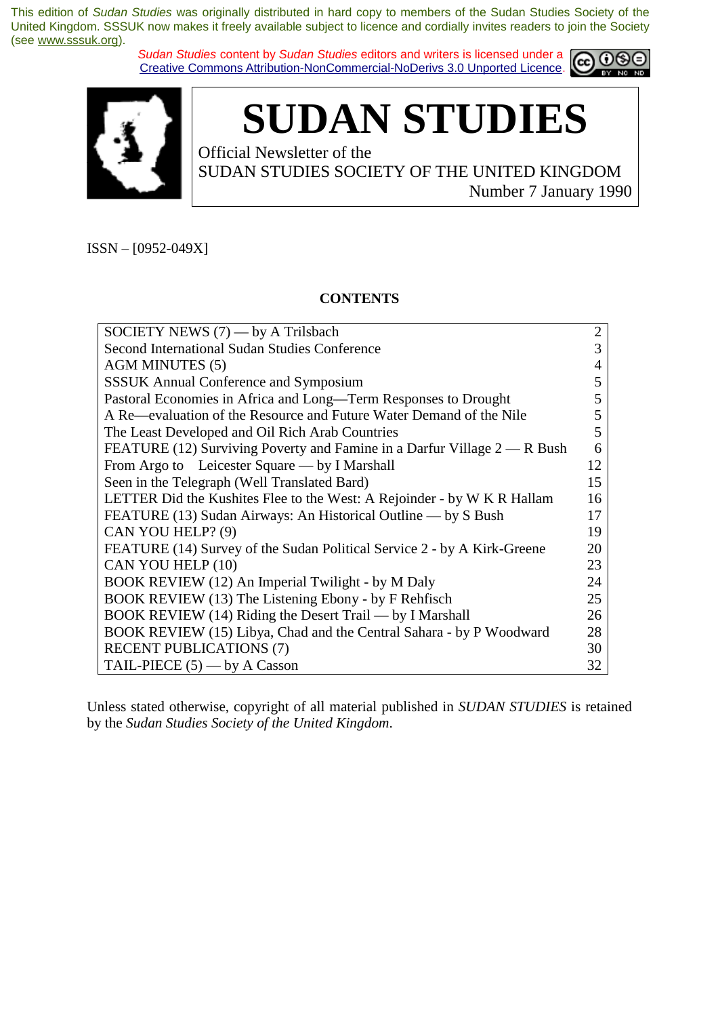*Sudan Studies* content by *Sudan Studies* editors and writers is licensed under a Creative Commons Attribution-NonCommercial-NoDerivs 3.0 Unported Licence.





**SUDAN STUDIES** 

Official Newsletter of the SUDAN STUDIES SOCIETY OF THE UNITED KINGDOM Number 7 January 1990

ISSN – [0952-049X]

## **CONTENTS**

| SOCIETY NEWS $(7)$ — by A Trilsbach                                      | $\overline{2}$ |
|--------------------------------------------------------------------------|----------------|
| Second International Sudan Studies Conference                            | 3              |
| <b>AGM MINUTES (5)</b>                                                   | 4              |
| <b>SSSUK</b> Annual Conference and Symposium                             | 5              |
| Pastoral Economies in Africa and Long—Term Responses to Drought          | 5              |
| A Re—evaluation of the Resource and Future Water Demand of the Nile      | 5              |
| The Least Developed and Oil Rich Arab Countries                          | 5              |
| FEATURE (12) Surviving Poverty and Famine in a Darfur Village 2 — R Bush | 6              |
| From Argo to Leicester Square — by I Marshall                            | 12             |
| Seen in the Telegraph (Well Translated Bard)                             | 15             |
| LETTER Did the Kushites Flee to the West: A Rejoinder - by W K R Hallam  | 16             |
| FEATURE (13) Sudan Airways: An Historical Outline — by S Bush            | 17             |
| CAN YOU HELP? (9)                                                        | 19             |
| FEATURE (14) Survey of the Sudan Political Service 2 - by A Kirk-Greene  | 20             |
| CAN YOU HELP (10)                                                        | 23             |
| BOOK REVIEW (12) An Imperial Twilight - by M Daly                        | 24             |
| BOOK REVIEW (13) The Listening Ebony - by F Rehfisch                     | 25             |
| BOOK REVIEW (14) Riding the Desert Trail — by I Marshall                 | 26             |
| BOOK REVIEW (15) Libya, Chad and the Central Sahara - by P Woodward      | 28             |
| <b>RECENT PUBLICATIONS (7)</b>                                           | 30             |
| TAIL-PIECE $(5)$ — by A Casson                                           | 32             |

Unless stated otherwise, copyright of all material published in *SUDAN STUDIES* is retained by the *Sudan Studies Society of the United Kingdom*.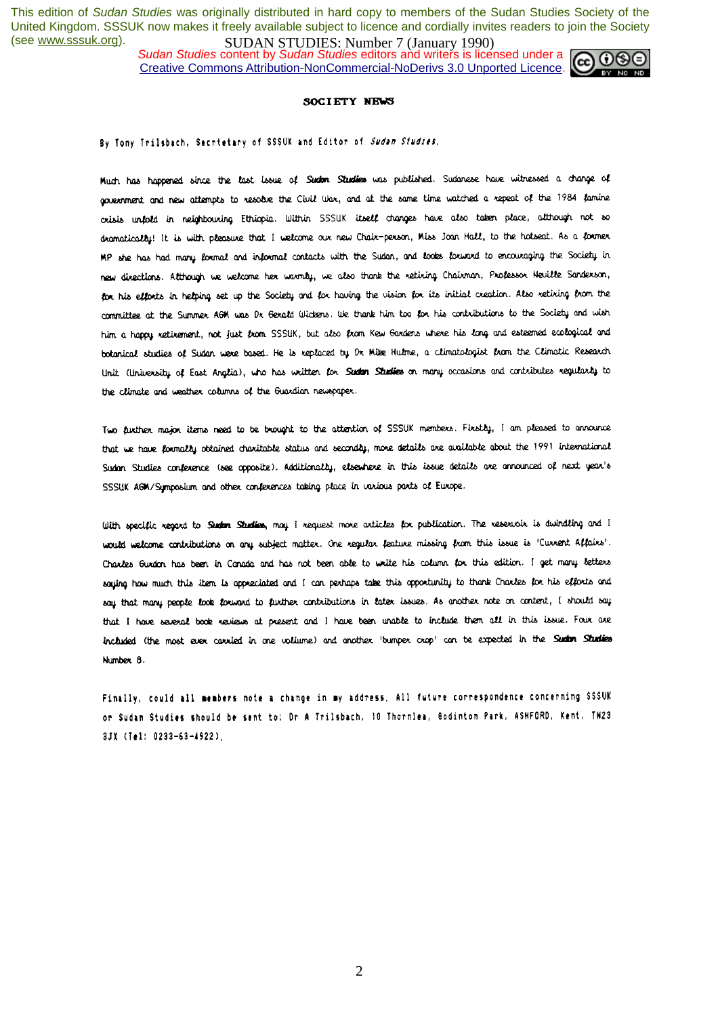*Sudan Studies* content by *Sudan Studies* editors and writers is licensed under a Creative Commons Attribution-NonCommercial-NoDerivs 3.0 Unported Licence.



### SOCIETY NEWS

### By Tony Trilsbach, Secrietary of SSSUK and Editor of Sudan Studies,

Much has happened since the last issue of Suden Studies was published. Sudanese have witnessed a change of government and new attempts to resolve the Civil War, and at the same time watched a repeat of the 1984 famine orisis unfold in neighbouring Ethiopia. Within SSSUK itself changes have also taken place, although not so dramatically! It is with pleasure that I welcome our new Chair-person, Miss Joan Hall, to the hotseat. As a former MP she has had many formal and informal contacts with the Sudan, and looks forward to encouraging the Society in new directions. Although we welcome her warmly, we also thank the retiring Chairman, Professor Heville Sanderson, for his efforts in helping set up the Society and for having the vision for its initial creation. Also retiring from the committee at the Summer AGM was Dr. Gerald Wickens. We thank him too for his contributions to the Society and wish him a happy retirement, not just from SSSUK, but also from Kew Gardens where his long and esteemed ecological and botanical studies of Sudan were based. He is replaced by Dr Mite Hulme, a climatologist from the Climatic Research Unit (University of East Anglia), who has written for Sudan Studies on many occasions and contributes regularly to the climate and weather columns of the Guardian newspaper.

Two further major items need to be brought to the attention of SSSUK members. Firstly, I am pleased to announce that we have formally obtained charitable status and secondly, more details are available about the 1991 international Sudan Studies conference (see opposite). Additionality, elsewhere in this issue details are announced of next year's SSSUK AGM/Symposium and other conferences taking place in various parts of Europe.

With specific regard to Sudan Studies, may I request more articles for publication. The reservoir is dwindling and I would welcome contributions on any subject matter. One regular feature missing from this issue is 'Current Affairs'. Charles Gurdon has been in Conada and has not been able to write his column for this edition. I get many letters saying how much this item is appreciated and I can perhaps take this opportunity to thank Charles for his efforts and say that many people look forward to further contributions in later issues. As another note on content, I should say that I have several book reviews at present and I have been unable to include them all in this issue. Four are included (the most ever carried in one voliume) and another 'bumper crop' can be expected in the Sudan Studies Number<sub>8</sub>.

Finally, could all members note a change in my address, All future correspondence concerning SSSUK or Sudan Studies should be sent to: Dr A Trilsbach, 10 Thornlea, Godinton Park, ASHFORD, Kent, TN23 3JX (Tel: 0233-63-4922),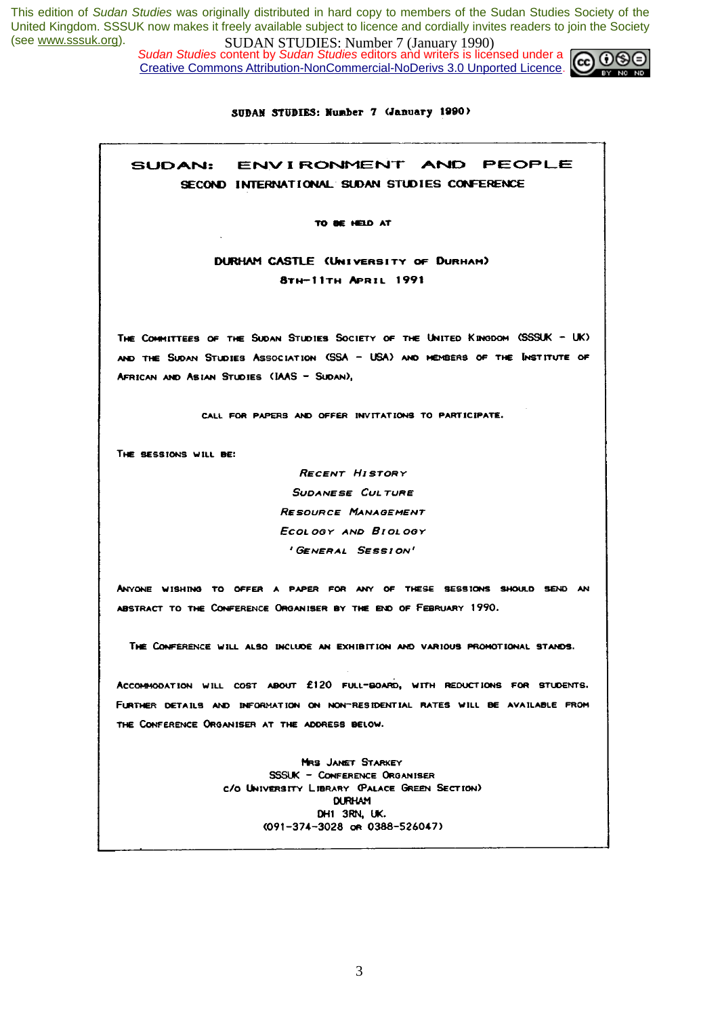*Sudan Studies* content by *Sudan Studies* editors and writers is licensed under a Creative Commons Attribution-NonCommercial-NoDerivs 3.0 Unported Licence.



### SUDAN STUDIES: Number 7 (January 1990)

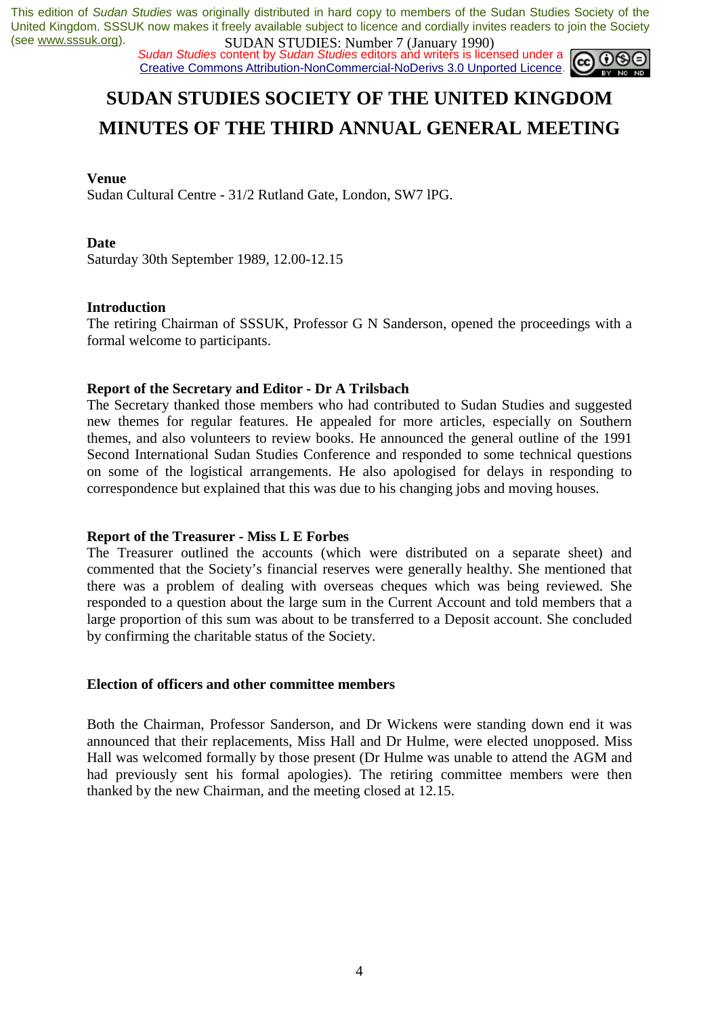*Sudan Studies* content by *Sudan Studies* editors and writers is licensed under a Creative Commons Attribution-NonCommercial-NoDerivs 3.0 Unported Licence.



# **SUDAN STUDIES SOCIETY OF THE UNITED KINGDOM MINUTES OF THE THIRD ANNUAL GENERAL MEETING**

## **Venue**

Sudan Cultural Centre - 31/2 Rutland Gate, London, SW7 lPG.

## **Date**

Saturday 30th September 1989, 12.00-12.15

## **Introduction**

The retiring Chairman of SSSUK, Professor G N Sanderson, opened the proceedings with a formal welcome to participants.

## **Report of the Secretary and Editor - Dr A Trilsbach**

The Secretary thanked those members who had contributed to Sudan Studies and suggested new themes for regular features. He appealed for more articles, especially on Southern themes, and also volunteers to review books. He announced the general outline of the 1991 Second International Sudan Studies Conference and responded to some technical questions on some of the logistical arrangements. He also apologised for delays in responding to correspondence but explained that this was due to his changing jobs and moving houses.

## **Report of the Treasurer - Miss L E Forbes**

The Treasurer outlined the accounts (which were distributed on a separate sheet) and commented that the Society's financial reserves were generally healthy. She mentioned that there was a problem of dealing with overseas cheques which was being reviewed. She responded to a question about the large sum in the Current Account and told members that a large proportion of this sum was about to be transferred to a Deposit account. She concluded by confirming the charitable status of the Society.

## **Election of officers and other committee members**

Both the Chairman, Professor Sanderson, and Dr Wickens were standing down end it was announced that their replacements, Miss Hall and Dr Hulme, were elected unopposed. Miss Hall was welcomed formally by those present (Dr Hulme was unable to attend the AGM and had previously sent his formal apologies). The retiring committee members were then thanked by the new Chairman, and the meeting closed at 12.15.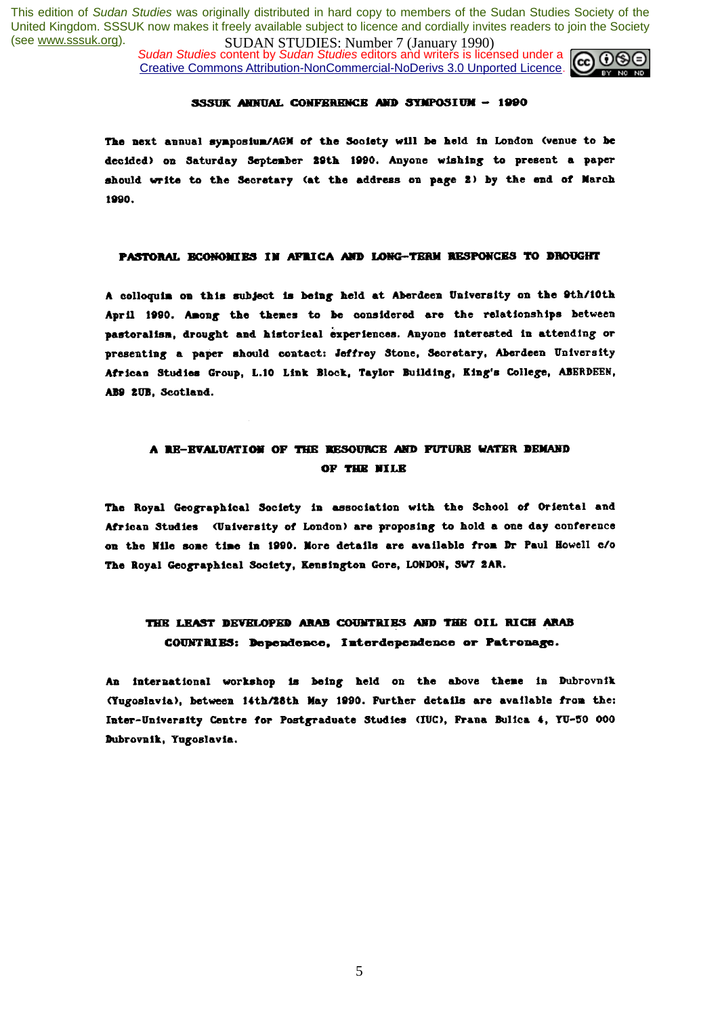*Sudan Studies* content by *Sudan Studies* editors and writers is licensed under a Creative Commons Attribution-NonCommercial-NoDerivs 3.0 Unported Licence.



### SSSUK ANNUAL CONFERENCE AND SYMPOSIUM - 1990

The next annual symposium/AGM of the Society will be held in London (venue to be decided) on Saturday September 29th 1990. Anyone wishing to present a paper should write to the Secretary (at the address on page 2) by the end of March 1990.

### PASTORAL ECONOMIES IN AFRICA AND LONG-TERN RESPONCES TO DROUGHT

A colloquim on this subject is being held at Aberdeen University on the 9th/10th April 1990. Among the themes to be considered are the relationships between pastoralism, drought and historical experiences. Anyone interested in attending or presenting a paper should contact: Jeffrey Stone, Secretary, Aberdeen University African Studies Group, L.10 Link Block, Taylor Building, King's College, ABERDEEN, AB9 2UB, Scotland.

## A RE-EVALUATION OF THE RESOURCE AND FUTURE WATER DEMAND OF THE NILE

The Royal Geographical Society in association with the School of Oriental and African Studies (University of London) are proposing to hold a one day conference on the Nile some time in 1990. More details are available from Dr Paul Howell c/o The Royal Geographical Society, Kensington Gore, LONDON, SW7 2AR.

## THE LEAST DEVELOPED ARAB COUNTRIES AND THE OIL RICH ARAB COUNTRIES: Dependence, Interdependence or Patronage.

An international workshop is being held on the above theme in Dubrovnik (Yugoslavia), between 14th/28th May 1990. Further details are available from the: Inter-University Centre for Postgraduate Studies (IUC), Frana Bulica 4, YU-50 000 Dubrovnik, Yugoslavia.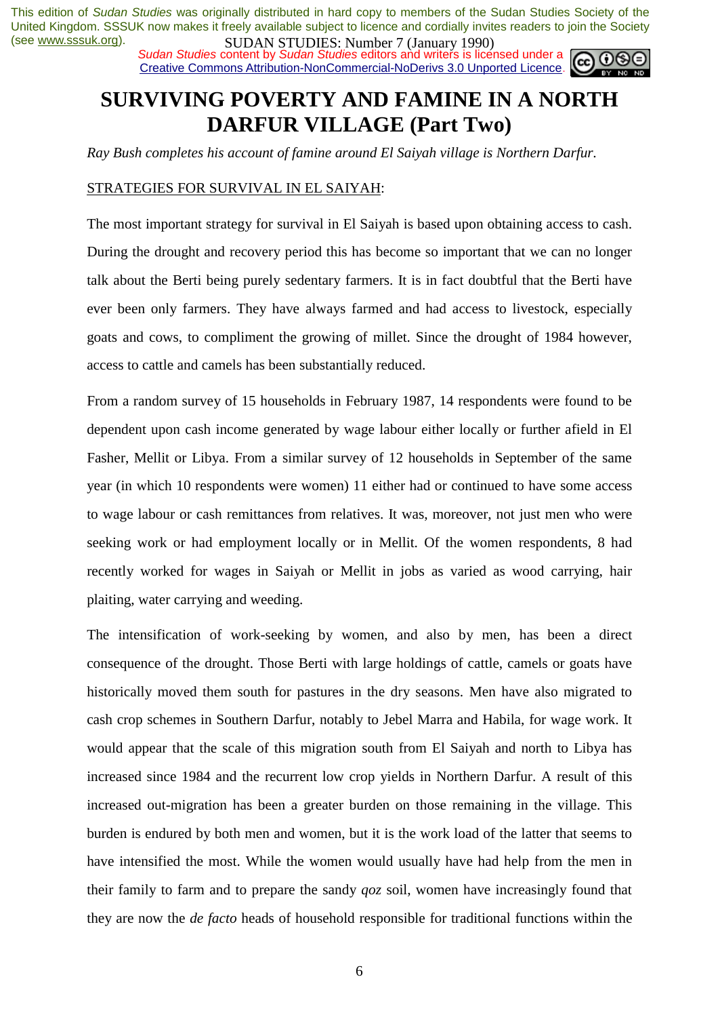**SUDAN STUDIES. NUTTLES** (Sangary 1770)<br>Sudan Studies content by Sudan Studies editors and writers is licensed under a Creative Commons Attribution-NonCommercial-NoDerivs 3.0 Unported Licence.



# **SURVIVING POVERTY AND FAMINE IN A NORTH DARFUR VILLAGE (Part Two)**

*Ray Bush completes his account of famine around El Saiyah village is Northern Darfur.* 

## STRATEGIES FOR SURVIVAL IN EL SAIYAH:

The most important strategy for survival in El Saiyah is based upon obtaining access to cash. During the drought and recovery period this has become so important that we can no longer talk about the Berti being purely sedentary farmers. It is in fact doubtful that the Berti have ever been only farmers. They have always farmed and had access to livestock, especially goats and cows, to compliment the growing of millet. Since the drought of 1984 however, access to cattle and camels has been substantially reduced.

From a random survey of 15 households in February 1987, 14 respondents were found to be dependent upon cash income generated by wage labour either locally or further afield in El Fasher, Mellit or Libya. From a similar survey of 12 households in September of the same year (in which 10 respondents were women) 11 either had or continued to have some access to wage labour or cash remittances from relatives. It was, moreover, not just men who were seeking work or had employment locally or in Mellit. Of the women respondents, 8 had recently worked for wages in Saiyah or Mellit in jobs as varied as wood carrying, hair plaiting, water carrying and weeding.

The intensification of work-seeking by women, and also by men, has been a direct consequence of the drought. Those Berti with large holdings of cattle, camels or goats have historically moved them south for pastures in the dry seasons. Men have also migrated to cash crop schemes in Southern Darfur, notably to Jebel Marra and Habila, for wage work. It would appear that the scale of this migration south from El Saiyah and north to Libya has increased since 1984 and the recurrent low crop yields in Northern Darfur. A result of this increased out-migration has been a greater burden on those remaining in the village. This burden is endured by both men and women, but it is the work load of the latter that seems to have intensified the most. While the women would usually have had help from the men in their family to farm and to prepare the sandy *qoz* soil, women have increasingly found that they are now the *de facto* heads of household responsible for traditional functions within the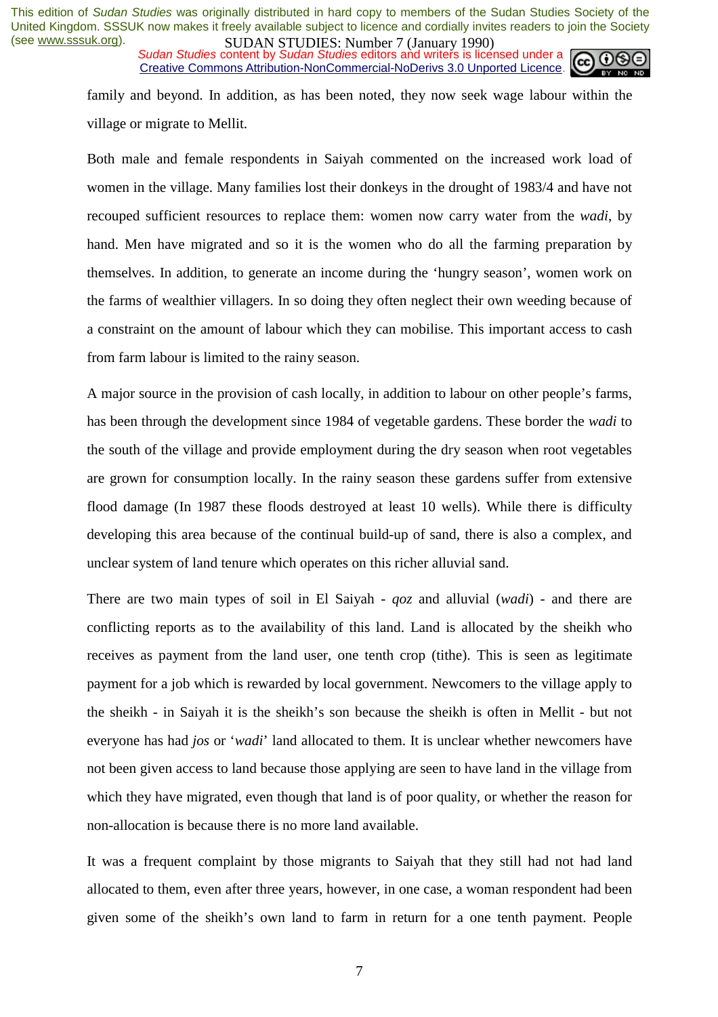**SUDAN STUDIES. NUTTLES** (January 1770)<br>Sudan Studies content by Sudan Studies editors and writers is licensed under a Creative Commons Attribution-NonCommercial-NoDerivs 3.0 Unported Licence.



family and beyond. In addition, as has been noted, they now seek wage labour within the village or migrate to Mellit.

Both male and female respondents in Saiyah commented on the increased work load of women in the village. Many families lost their donkeys in the drought of 1983/4 and have not recouped sufficient resources to replace them: women now carry water from the *wadi*, by hand. Men have migrated and so it is the women who do all the farming preparation by themselves. In addition, to generate an income during the 'hungry season', women work on the farms of wealthier villagers. In so doing they often neglect their own weeding because of a constraint on the amount of labour which they can mobilise. This important access to cash from farm labour is limited to the rainy season.

A major source in the provision of cash locally, in addition to labour on other people's farms, has been through the development since 1984 of vegetable gardens. These border the *wadi* to the south of the village and provide employment during the dry season when root vegetables are grown for consumption locally. In the rainy season these gardens suffer from extensive flood damage (In 1987 these floods destroyed at least 10 wells). While there is difficulty developing this area because of the continual build-up of sand, there is also a complex, and unclear system of land tenure which operates on this richer alluvial sand.

There are two main types of soil in El Saiyah - *qoz* and alluvial (*wadi*) - and there are conflicting reports as to the availability of this land. Land is allocated by the sheikh who receives as payment from the land user, one tenth crop (tithe). This is seen as legitimate payment for a job which is rewarded by local government. Newcomers to the village apply to the sheikh - in Saiyah it is the sheikh's son because the sheikh is often in Mellit - but not everyone has had *jos* or '*wadi*' land allocated to them. It is unclear whether newcomers have not been given access to land because those applying are seen to have land in the village from which they have migrated, even though that land is of poor quality, or whether the reason for non-allocation is because there is no more land available.

It was a frequent complaint by those migrants to Saiyah that they still had not had land allocated to them, even after three years, however, in one case, a woman respondent had been given some of the sheikh's own land to farm in return for a one tenth payment. People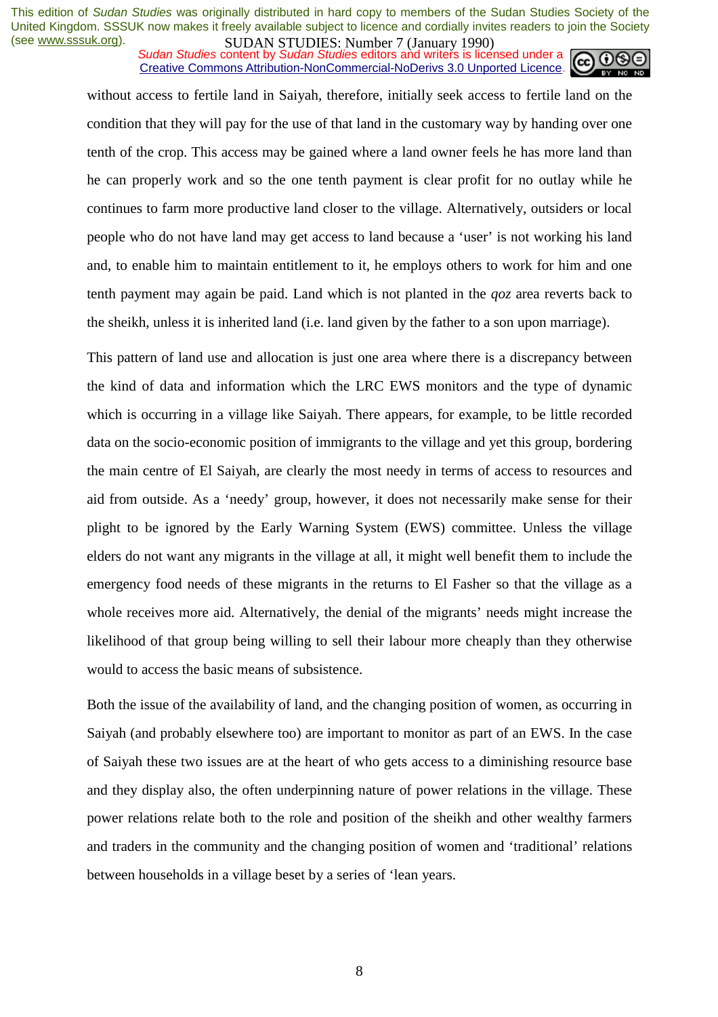*Sudan Studies* content by *Sudan Studies* editors and writers is licensed under a Creative Commons Attribution-NonCommercial-NoDerivs 3.0 Unported Licence.



without access to fertile land in Saiyah, therefore, initially seek access to fertile land on the condition that they will pay for the use of that land in the customary way by handing over one tenth of the crop. This access may be gained where a land owner feels he has more land than he can properly work and so the one tenth payment is clear profit for no outlay while he continues to farm more productive land closer to the village. Alternatively, outsiders or local people who do not have land may get access to land because a 'user' is not working his land and, to enable him to maintain entitlement to it, he employs others to work for him and one tenth payment may again be paid. Land which is not planted in the *qoz* area reverts back to the sheikh, unless it is inherited land (i.e. land given by the father to a son upon marriage).

This pattern of land use and allocation is just one area where there is a discrepancy between the kind of data and information which the LRC EWS monitors and the type of dynamic which is occurring in a village like Saiyah. There appears, for example, to be little recorded data on the socio-economic position of immigrants to the village and yet this group, bordering the main centre of El Saiyah, are clearly the most needy in terms of access to resources and aid from outside. As a 'needy' group, however, it does not necessarily make sense for their plight to be ignored by the Early Warning System (EWS) committee. Unless the village elders do not want any migrants in the village at all, it might well benefit them to include the emergency food needs of these migrants in the returns to El Fasher so that the village as a whole receives more aid. Alternatively, the denial of the migrants' needs might increase the likelihood of that group being willing to sell their labour more cheaply than they otherwise would to access the basic means of subsistence.

Both the issue of the availability of land, and the changing position of women, as occurring in Saiyah (and probably elsewhere too) are important to monitor as part of an EWS. In the case of Saiyah these two issues are at the heart of who gets access to a diminishing resource base and they display also, the often underpinning nature of power relations in the village. These power relations relate both to the role and position of the sheikh and other wealthy farmers and traders in the community and the changing position of women and 'traditional' relations between households in a village beset by a series of 'lean years.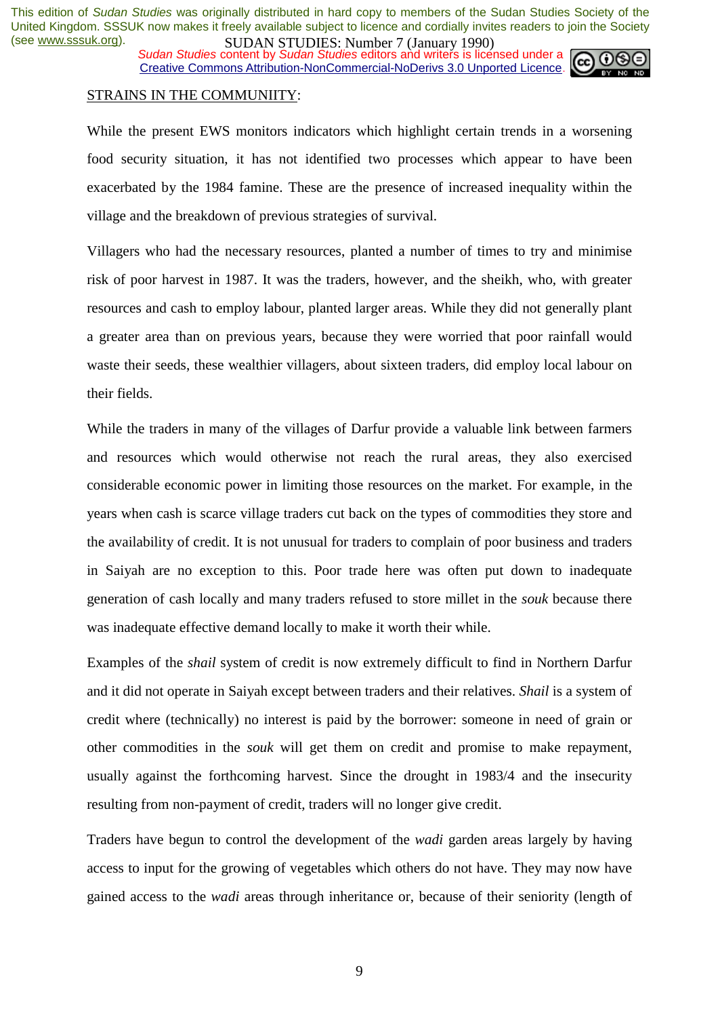**SUDAN STUDIES:** Number *1* (January 1770)<br>Sudan Studies content by Sudan Studies editors and writers is licensed under a Creative Commons Attribution-NonCommercial-NoDerivs 3.0 Unported Licence.



## STRAINS IN THE COMMUNIITY:

While the present EWS monitors indicators which highlight certain trends in a worsening food security situation, it has not identified two processes which appear to have been exacerbated by the 1984 famine. These are the presence of increased inequality within the village and the breakdown of previous strategies of survival.

Villagers who had the necessary resources, planted a number of times to try and minimise risk of poor harvest in 1987. It was the traders, however, and the sheikh, who, with greater resources and cash to employ labour, planted larger areas. While they did not generally plant a greater area than on previous years, because they were worried that poor rainfall would waste their seeds, these wealthier villagers, about sixteen traders, did employ local labour on their fields.

While the traders in many of the villages of Darfur provide a valuable link between farmers and resources which would otherwise not reach the rural areas, they also exercised considerable economic power in limiting those resources on the market. For example, in the years when cash is scarce village traders cut back on the types of commodities they store and the availability of credit. It is not unusual for traders to complain of poor business and traders in Saiyah are no exception to this. Poor trade here was often put down to inadequate generation of cash locally and many traders refused to store millet in the *souk* because there was inadequate effective demand locally to make it worth their while.

Examples of the *shail* system of credit is now extremely difficult to find in Northern Darfur and it did not operate in Saiyah except between traders and their relatives. *Shail* is a system of credit where (technically) no interest is paid by the borrower: someone in need of grain or other commodities in the *souk* will get them on credit and promise to make repayment, usually against the forthcoming harvest. Since the drought in 1983/4 and the insecurity resulting from non-payment of credit, traders will no longer give credit.

Traders have begun to control the development of the *wadi* garden areas largely by having access to input for the growing of vegetables which others do not have. They may now have gained access to the *wadi* areas through inheritance or, because of their seniority (length of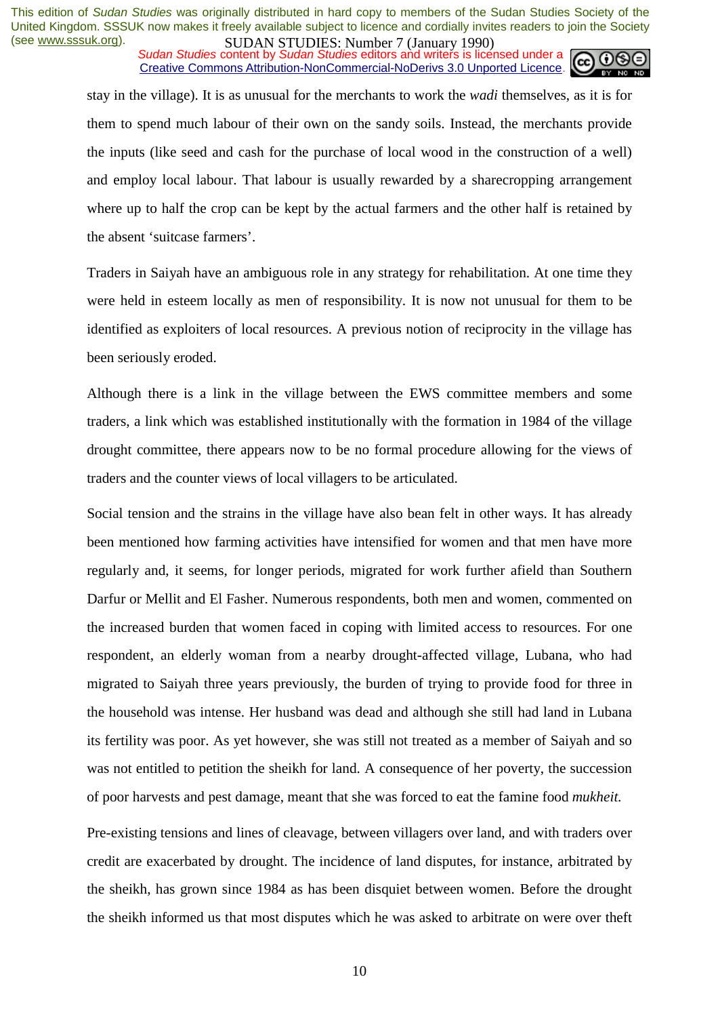*Sudan Studies* content by *Sudan Studies* editors and writers is licensed under a Creative Commons Attribution-NonCommercial-NoDerivs 3.0 Unported Licence.



stay in the village). It is as unusual for the merchants to work the *wadi* themselves, as it is for them to spend much labour of their own on the sandy soils. Instead, the merchants provide the inputs (like seed and cash for the purchase of local wood in the construction of a well) and employ local labour. That labour is usually rewarded by a sharecropping arrangement where up to half the crop can be kept by the actual farmers and the other half is retained by the absent 'suitcase farmers'.

Traders in Saiyah have an ambiguous role in any strategy for rehabilitation. At one time they were held in esteem locally as men of responsibility. It is now not unusual for them to be identified as exploiters of local resources. A previous notion of reciprocity in the village has been seriously eroded.

Although there is a link in the village between the EWS committee members and some traders, a link which was established institutionally with the formation in 1984 of the village drought committee, there appears now to be no formal procedure allowing for the views of traders and the counter views of local villagers to be articulated.

Social tension and the strains in the village have also bean felt in other ways. It has already been mentioned how farming activities have intensified for women and that men have more regularly and, it seems, for longer periods, migrated for work further afield than Southern Darfur or Mellit and El Fasher. Numerous respondents, both men and women, commented on the increased burden that women faced in coping with limited access to resources. For one respondent, an elderly woman from a nearby drought-affected village, Lubana, who had migrated to Saiyah three years previously, the burden of trying to provide food for three in the household was intense. Her husband was dead and although she still had land in Lubana its fertility was poor. As yet however, she was still not treated as a member of Saiyah and so was not entitled to petition the sheikh for land. A consequence of her poverty, the succession of poor harvests and pest damage, meant that she was forced to eat the famine food *mukheit.* 

Pre-existing tensions and lines of cleavage, between villagers over land, and with traders over credit are exacerbated by drought. The incidence of land disputes, for instance, arbitrated by the sheikh, has grown since 1984 as has been disquiet between women. Before the drought the sheikh informed us that most disputes which he was asked to arbitrate on were over theft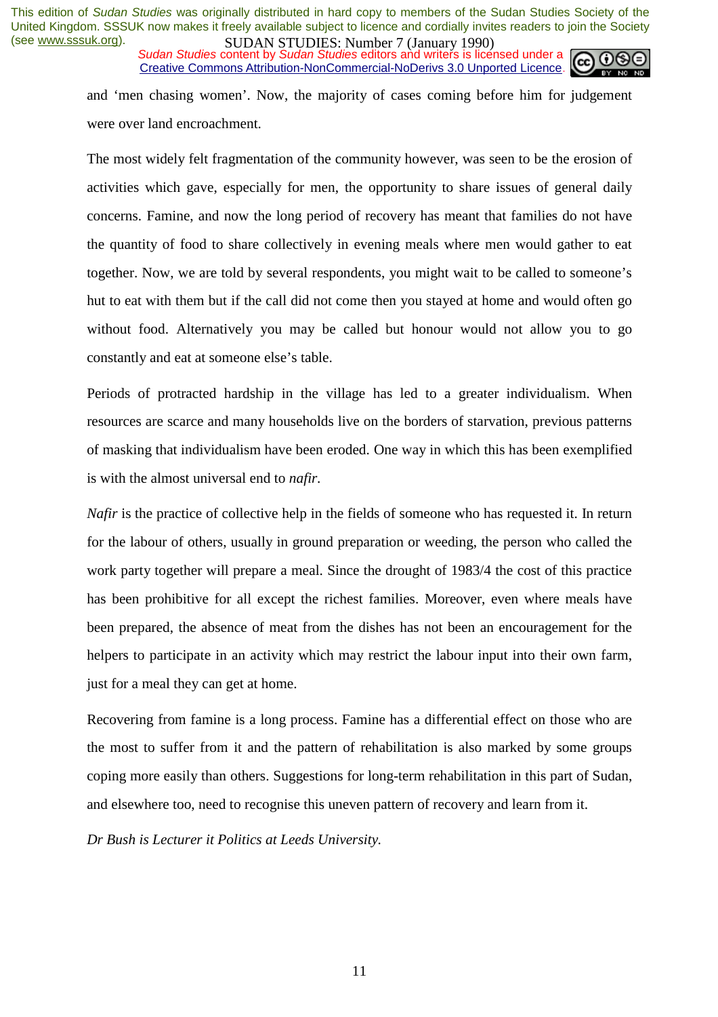*Sudan Studies* content by *Sudan Studies* editors and writers is licensed under a Creative Commons Attribution-NonCommercial-NoDerivs 3.0 Unported Licence.



and 'men chasing women'. Now, the majority of cases coming before him for judgement were over land encroachment.

The most widely felt fragmentation of the community however, was seen to be the erosion of activities which gave, especially for men, the opportunity to share issues of general daily concerns. Famine, and now the long period of recovery has meant that families do not have the quantity of food to share collectively in evening meals where men would gather to eat together. Now, we are told by several respondents, you might wait to be called to someone's hut to eat with them but if the call did not come then you stayed at home and would often go without food. Alternatively you may be called but honour would not allow you to go constantly and eat at someone else's table.

Periods of protracted hardship in the village has led to a greater individualism. When resources are scarce and many households live on the borders of starvation, previous patterns of masking that individualism have been eroded. One way in which this has been exemplified is with the almost universal end to *nafir.* 

*Nafir* is the practice of collective help in the fields of someone who has requested it. In return for the labour of others, usually in ground preparation or weeding, the person who called the work party together will prepare a meal. Since the drought of 1983/4 the cost of this practice has been prohibitive for all except the richest families. Moreover, even where meals have been prepared, the absence of meat from the dishes has not been an encouragement for the helpers to participate in an activity which may restrict the labour input into their own farm, just for a meal they can get at home.

Recovering from famine is a long process. Famine has a differential effect on those who are the most to suffer from it and the pattern of rehabilitation is also marked by some groups coping more easily than others. Suggestions for long-term rehabilitation in this part of Sudan, and elsewhere too, need to recognise this uneven pattern of recovery and learn from it.

*Dr Bush is Lecturer it Politics at Leeds University.*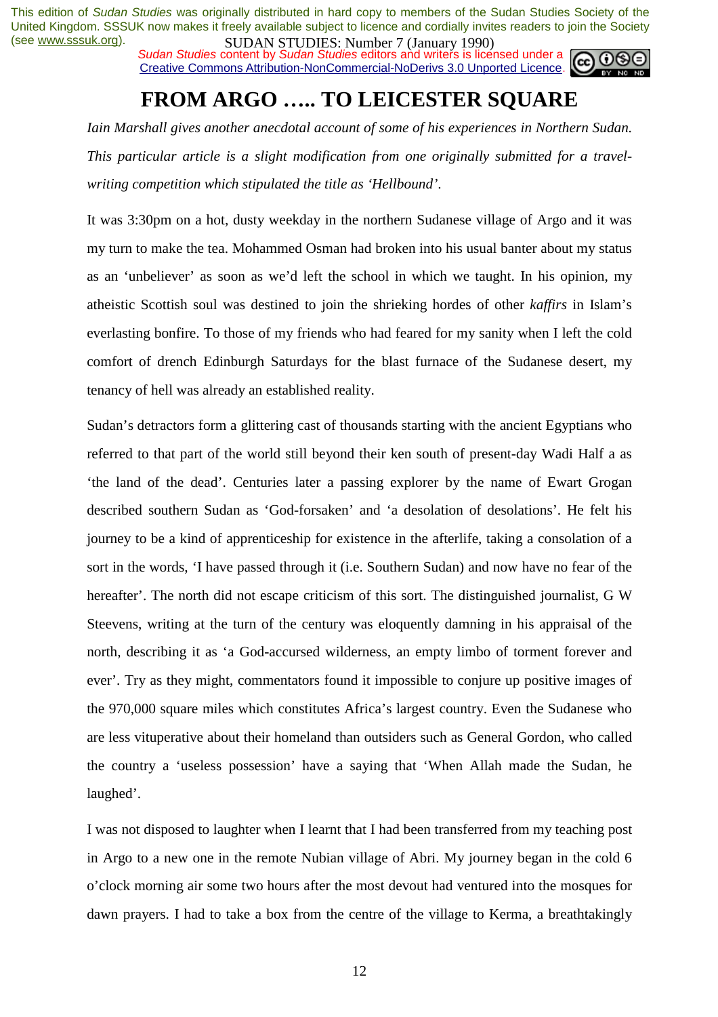*Sudan Studies* content by *Sudan Studies* editors and writers is licensed under a Creative Commons Attribution-NonCommercial-NoDerivs 3.0 Unported Licence.



# **FROM ARGO ….. TO LEICESTER SQUARE**

*Iain Marshall gives another anecdotal account of some of his experiences in Northern Sudan. This particular article is a slight modification from one originally submitted for a travelwriting competition which stipulated the title as 'Hellbound'*.

It was 3:30pm on a hot, dusty weekday in the northern Sudanese village of Argo and it was my turn to make the tea. Mohammed Osman had broken into his usual banter about my status as an 'unbeliever' as soon as we'd left the school in which we taught. In his opinion, my atheistic Scottish soul was destined to join the shrieking hordes of other *kaffirs* in Islam's everlasting bonfire. To those of my friends who had feared for my sanity when I left the cold comfort of drench Edinburgh Saturdays for the blast furnace of the Sudanese desert, my tenancy of hell was already an established reality.

Sudan's detractors form a glittering cast of thousands starting with the ancient Egyptians who referred to that part of the world still beyond their ken south of present-day Wadi Half a as 'the land of the dead'. Centuries later a passing explorer by the name of Ewart Grogan described southern Sudan as 'God-forsaken' and 'a desolation of desolations'. He felt his journey to be a kind of apprenticeship for existence in the afterlife, taking a consolation of a sort in the words, 'I have passed through it (i.e. Southern Sudan) and now have no fear of the hereafter'. The north did not escape criticism of this sort. The distinguished journalist, G W Steevens, writing at the turn of the century was eloquently damning in his appraisal of the north, describing it as 'a God-accursed wilderness, an empty limbo of torment forever and ever'. Try as they might, commentators found it impossible to conjure up positive images of the 970,000 square miles which constitutes Africa's largest country. Even the Sudanese who are less vituperative about their homeland than outsiders such as General Gordon, who called the country a 'useless possession' have a saying that 'When Allah made the Sudan, he laughed'.

I was not disposed to laughter when I learnt that I had been transferred from my teaching post in Argo to a new one in the remote Nubian village of Abri. My journey began in the cold 6 o'clock morning air some two hours after the most devout had ventured into the mosques for dawn prayers. I had to take a box from the centre of the village to Kerma, a breathtakingly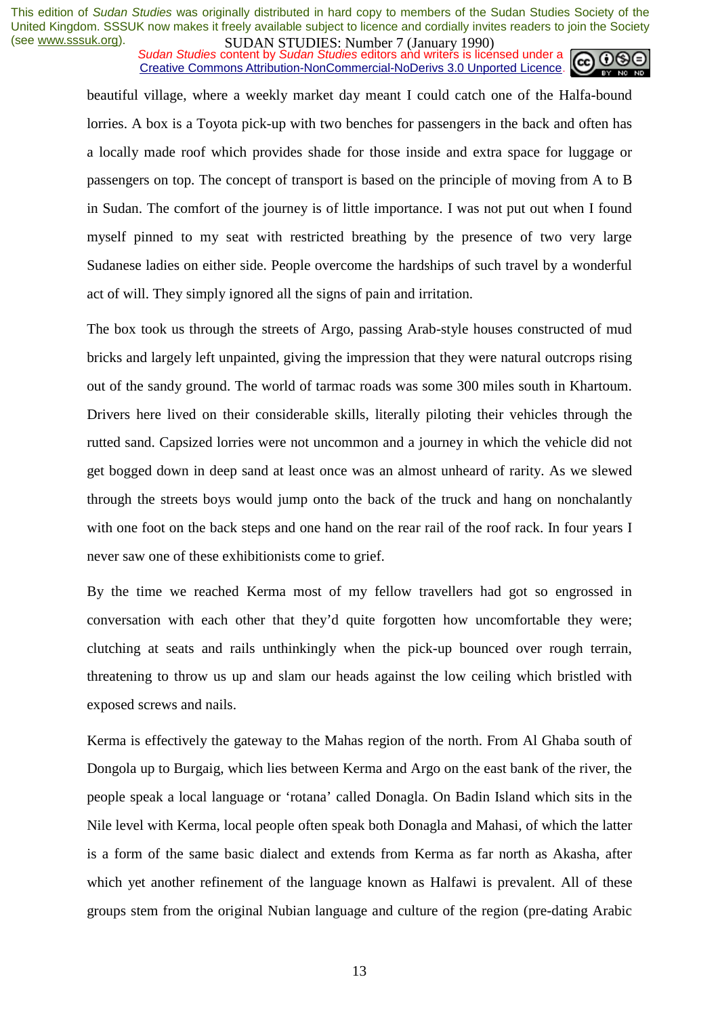*Sudan Studies* content by *Sudan Studies* editors and writers is licensed under a Creative Commons Attribution-NonCommercial-NoDerivs 3.0 Unported Licence.



beautiful village, where a weekly market day meant I could catch one of the Halfa-bound lorries. A box is a Toyota pick-up with two benches for passengers in the back and often has a locally made roof which provides shade for those inside and extra space for luggage or passengers on top. The concept of transport is based on the principle of moving from A to B in Sudan. The comfort of the journey is of little importance. I was not put out when I found myself pinned to my seat with restricted breathing by the presence of two very large Sudanese ladies on either side. People overcome the hardships of such travel by a wonderful act of will. They simply ignored all the signs of pain and irritation.

The box took us through the streets of Argo, passing Arab-style houses constructed of mud bricks and largely left unpainted, giving the impression that they were natural outcrops rising out of the sandy ground. The world of tarmac roads was some 300 miles south in Khartoum. Drivers here lived on their considerable skills, literally piloting their vehicles through the rutted sand. Capsized lorries were not uncommon and a journey in which the vehicle did not get bogged down in deep sand at least once was an almost unheard of rarity. As we slewed through the streets boys would jump onto the back of the truck and hang on nonchalantly with one foot on the back steps and one hand on the rear rail of the roof rack. In four years I never saw one of these exhibitionists come to grief.

By the time we reached Kerma most of my fellow travellers had got so engrossed in conversation with each other that they'd quite forgotten how uncomfortable they were; clutching at seats and rails unthinkingly when the pick-up bounced over rough terrain, threatening to throw us up and slam our heads against the low ceiling which bristled with exposed screws and nails.

Kerma is effectively the gateway to the Mahas region of the north. From Al Ghaba south of Dongola up to Burgaig, which lies between Kerma and Argo on the east bank of the river, the people speak a local language or 'rotana' called Donagla. On Badin Island which sits in the Nile level with Kerma, local people often speak both Donagla and Mahasi, of which the latter is a form of the same basic dialect and extends from Kerma as far north as Akasha, after which yet another refinement of the language known as Halfawi is prevalent. All of these groups stem from the original Nubian language and culture of the region (pre-dating Arabic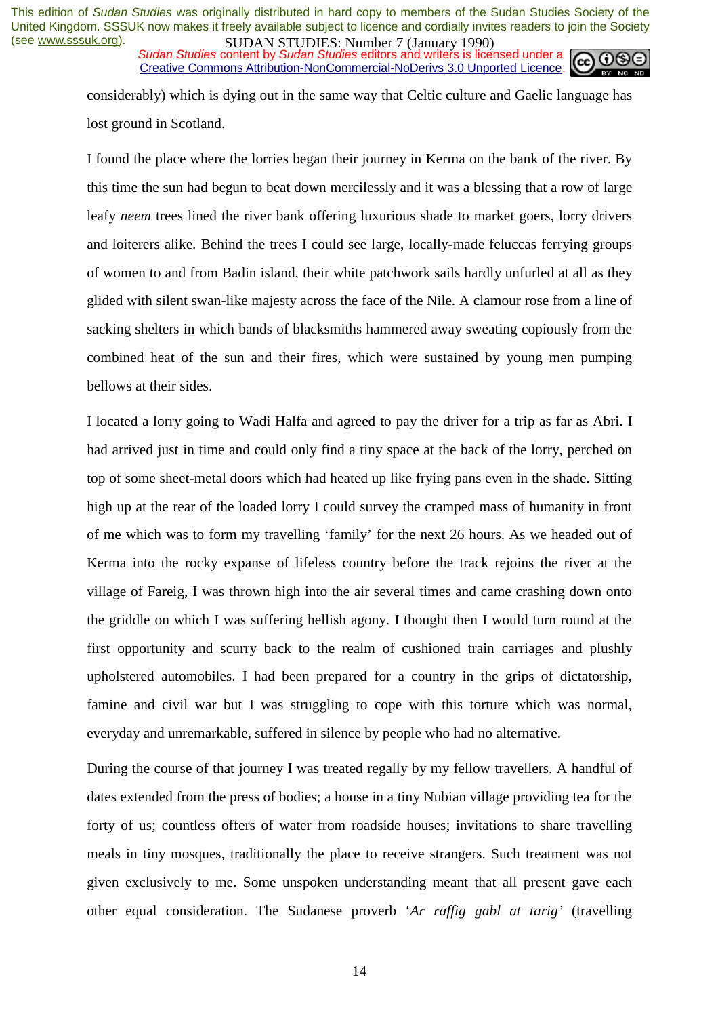**SUDAN STUDIES. NUTTLES** (January 1770)<br>Sudan Studies content by Sudan Studies editors and writers is licensed under a Creative Commons Attribution-NonCommercial-NoDerivs 3.0 Unported Licence.



considerably) which is dying out in the same way that Celtic culture and Gaelic language has lost ground in Scotland.

I found the place where the lorries began their journey in Kerma on the bank of the river. By this time the sun had begun to beat down mercilessly and it was a blessing that a row of large leafy *neem* trees lined the river bank offering luxurious shade to market goers, lorry drivers and loiterers alike. Behind the trees I could see large, locally-made feluccas ferrying groups of women to and from Badin island, their white patchwork sails hardly unfurled at all as they glided with silent swan-like majesty across the face of the Nile. A clamour rose from a line of sacking shelters in which bands of blacksmiths hammered away sweating copiously from the combined heat of the sun and their fires, which were sustained by young men pumping bellows at their sides.

I located a lorry going to Wadi Halfa and agreed to pay the driver for a trip as far as Abri. I had arrived just in time and could only find a tiny space at the back of the lorry, perched on top of some sheet-metal doors which had heated up like frying pans even in the shade. Sitting high up at the rear of the loaded lorry I could survey the cramped mass of humanity in front of me which was to form my travelling 'family' for the next 26 hours. As we headed out of Kerma into the rocky expanse of lifeless country before the track rejoins the river at the village of Fareig, I was thrown high into the air several times and came crashing down onto the griddle on which I was suffering hellish agony. I thought then I would turn round at the first opportunity and scurry back to the realm of cushioned train carriages and plushly upholstered automobiles. I had been prepared for a country in the grips of dictatorship, famine and civil war but I was struggling to cope with this torture which was normal, everyday and unremarkable, suffered in silence by people who had no alternative.

During the course of that journey I was treated regally by my fellow travellers. A handful of dates extended from the press of bodies; a house in a tiny Nubian village providing tea for the forty of us; countless offers of water from roadside houses; invitations to share travelling meals in tiny mosques, traditionally the place to receive strangers. Such treatment was not given exclusively to me. Some unspoken understanding meant that all present gave each other equal consideration. The Sudanese proverb '*Ar raffig gabl at tarig'* (travelling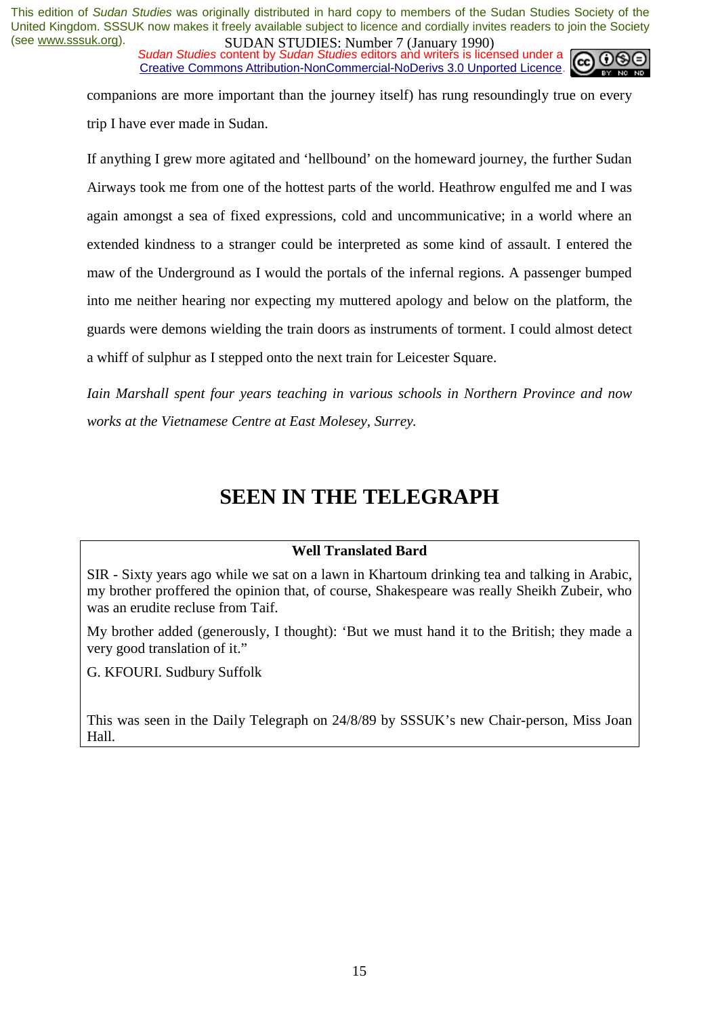**SUDAN STUDIES. NUTTLES** (January 1770)<br>Sudan Studies content by Sudan Studies editors and writers is licensed under a Creative Commons Attribution-NonCommercial-NoDerivs 3.0 Unported Licence.



companions are more important than the journey itself) has rung resoundingly true on every trip I have ever made in Sudan.

If anything I grew more agitated and 'hellbound' on the homeward journey, the further Sudan Airways took me from one of the hottest parts of the world. Heathrow engulfed me and I was again amongst a sea of fixed expressions, cold and uncommunicative; in a world where an extended kindness to a stranger could be interpreted as some kind of assault. I entered the maw of the Underground as I would the portals of the infernal regions. A passenger bumped into me neither hearing nor expecting my muttered apology and below on the platform, the guards were demons wielding the train doors as instruments of torment. I could almost detect a whiff of sulphur as I stepped onto the next train for Leicester Square.

*Iain Marshall spent four years teaching in various schools in Northern Province and now works at the Vietnamese Centre at East Molesey, Surrey.* 

## **SEEN IN THE TELEGRAPH**

## **Well Translated Bard**

SIR - Sixty years ago while we sat on a lawn in Khartoum drinking tea and talking in Arabic, my brother proffered the opinion that, of course, Shakespeare was really Sheikh Zubeir, who was an erudite recluse from Taif.

My brother added (generously, I thought): 'But we must hand it to the British; they made a very good translation of it."

G. KFOURI. Sudbury Suffolk

This was seen in the Daily Telegraph on 24/8/89 by SSSUK's new Chair-person, Miss Joan Hall.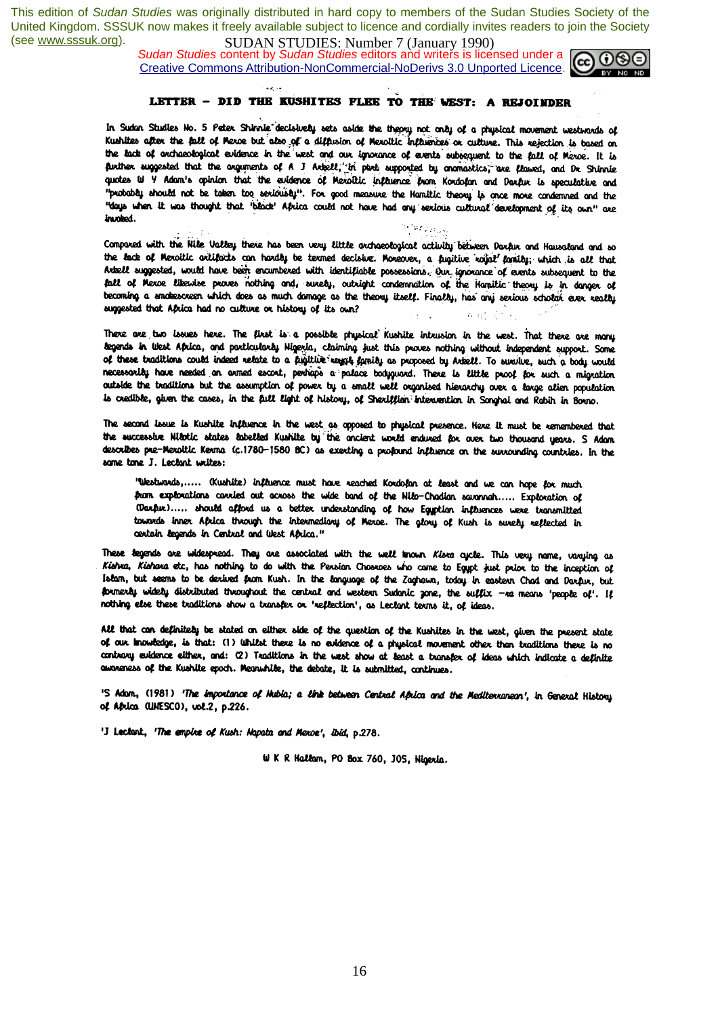أسرابه

 *Sudan Studies* content by *Sudan Studies* editors and writers is licensed under a Creative Commons Attribution-NonCommercial-NoDerivs 3.0 Unported Licence.



## LETTER - DID THE KUSHITES FLEE TO THE WEST: A REJOINDER

In Sudan Studies No. 5 Peter Shinnle decisively sets aside the theory not only of a physical movement westwords of Kushites after the fall of Mexoe but also of a diffusion of Mexoltic influences or culture. This rejection is based on the lack of orchesological evidence in the west and our ignorance of events subsequent to the fall of Merce. It is puttrer suggested that the arguments of A J Arbell, in part supported by cnomastics, are flawed, and Dr Shinnie quotes W Y Adam's opinion that the evidence of Mexottic influence from Kordofan and Darfur is speculative and "probably should not be taken too seriously". For good measure the Hamiltic theory is once more condemned and the "days when it was thought that "black' Africa could not have had any sexious cultural development of its own" are invoked.

Compared with the Nile Valley there has been very little archaeological activity between Darfur and Hausaland and so the lack of Meroitic ortifacts can hardly be termed decisive. Moreover, a fugitive rajat family; which is all that Artzell suggested, would have been encumbered with identifiable possessions. Our ignorance of events subsequent to the fall of Mexoe likewise proves nothing and, surely, outsight condemnation of the Hamitic theory is in danger of becoming a snakescreen which does as much damage as the theory itself. Finally, has any serious scholar ever really suggested that Aprica had no culture or history of its own?

There are two issues here. The first is a possible physical Kushite intrusion in the west. That there are many begends in West Aprica, and particularly Higeria, claiming just this proves nothing without independent support. Some of these traditions could indeed relate to a fugitive way to finity as proposed by Artiell. To survive, such a tody would necessarily have needed an armed escort, perhaps a palace bodyguard. There is little proof for such a migration outside the traditions but the assumption of power by a small well organised hierarchy over a large alien population is credible, given the cases, in the full light of history, of Shexiffian intervention in Songhai and Rabih in Borno.

The second issue is Kushite influence in the west as opposed to physical presence. Here it must be remembered that the successive Nilotic states labelled Kushite by the ancient world endured for over two thousand years. S Adam describes pre-Merolitic Kerma (c.1780-1580 BC) as exerting a profound influence on the surrounding countries. In the same tone J. Leclant writes:

"Westwords,..... (Kushite) influence must have reached Kordofan at least and we can hope for much para explorations carried out across the wide band of the Nilo-Chadian savannah ..... Exploration of (Darfur)..... should afford us a better understanding of how Egyption influences were transmitted towards inner Africa through the intermediary of Merce. The glory of Kush is surely reflected in certain begends in Central and West Aprica."

These tegends are widespread. They are associated with the well known Kisra cycle. This very name, varying as Kiehra, Kiehara etc, has nothing to do with the Persian Chosroes who came to Egypt just prior to the inception of Islam, but seems to be derived from Kush. In the language of the Zaghawa, today in eastern Chad and Darfur, but formerly widely distributed throughout the central and western Sudanic zone, the suffix -ra means 'people of'. If nothing else these traditions show a transfer or 'reflection', as Leclant terms it, of ideas.

All that can definitely be stated on either side of the question of the Kushites in the west, given the present state of our involtage, is that: (1) Whilst there is no evidence of a physical movement other than traditions there is no contrary evidence either, and: (2) Traditions in the west show at least a transfer of ideas which indicate a definite awareness of the Kushite epoch. Meanwhile, the debate, it is submitted, continues.

'S Adom, (1981) 'The importance of Mubia; a link between Central Aprica and the Mediterraneon', in General History of Aprica (UNESCO), vol.2, p.226.

'J Leclant, 'The empire of Kush: Napata and Mexoe', ibid, p.278.

W K R Hallam, PO Box 760, JOS, Nigeria.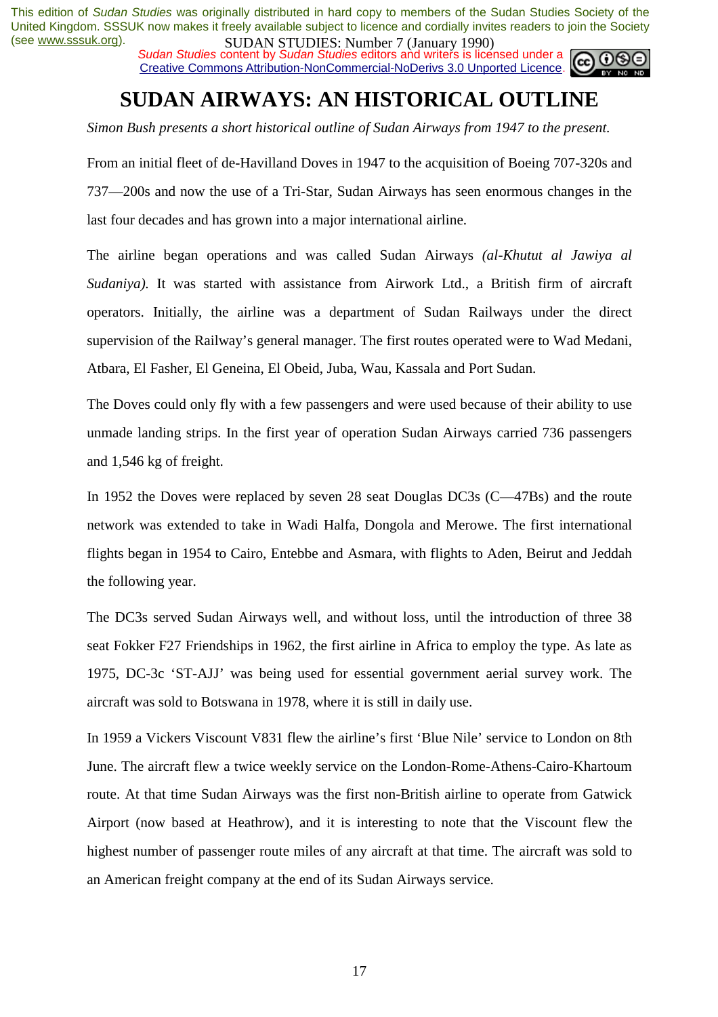**SUDAN STUDIES. NUTTLES** (Sangary 1770)<br>Sudan Studies content by Sudan Studies editors and writers is licensed under a Creative Commons Attribution-NonCommercial-NoDerivs 3.0 Unported Licence.



# **SUDAN AIRWAYS: AN HISTORICAL OUTLINE**

*Simon Bush presents a short historical outline of Sudan Airways from 1947 to the present.* 

From an initial fleet of de-Havilland Doves in 1947 to the acquisition of Boeing 707-320s and 737—200s and now the use of a Tri-Star, Sudan Airways has seen enormous changes in the last four decades and has grown into a major international airline.

The airline began operations and was called Sudan Airways *(al-Khutut al Jawiya al Sudaniya).* It was started with assistance from Airwork Ltd., a British firm of aircraft operators. Initially, the airline was a department of Sudan Railways under the direct supervision of the Railway's general manager. The first routes operated were to Wad Medani, Atbara, El Fasher, El Geneina, El Obeid, Juba, Wau, Kassala and Port Sudan.

The Doves could only fly with a few passengers and were used because of their ability to use unmade landing strips. In the first year of operation Sudan Airways carried 736 passengers and 1,546 kg of freight.

In 1952 the Doves were replaced by seven 28 seat Douglas DC3s (C—47Bs) and the route network was extended to take in Wadi Halfa, Dongola and Merowe. The first international flights began in 1954 to Cairo, Entebbe and Asmara, with flights to Aden, Beirut and Jeddah the following year.

The DC3s served Sudan Airways well, and without loss, until the introduction of three 38 seat Fokker F27 Friendships in 1962, the first airline in Africa to employ the type. As late as 1975, DC-3c 'ST-AJJ' was being used for essential government aerial survey work. The aircraft was sold to Botswana in 1978, where it is still in daily use.

In 1959 a Vickers Viscount V831 flew the airline's first 'Blue Nile' service to London on 8th June. The aircraft flew a twice weekly service on the London-Rome-Athens-Cairo-Khartoum route. At that time Sudan Airways was the first non-British airline to operate from Gatwick Airport (now based at Heathrow), and it is interesting to note that the Viscount flew the highest number of passenger route miles of any aircraft at that time. The aircraft was sold to an American freight company at the end of its Sudan Airways service.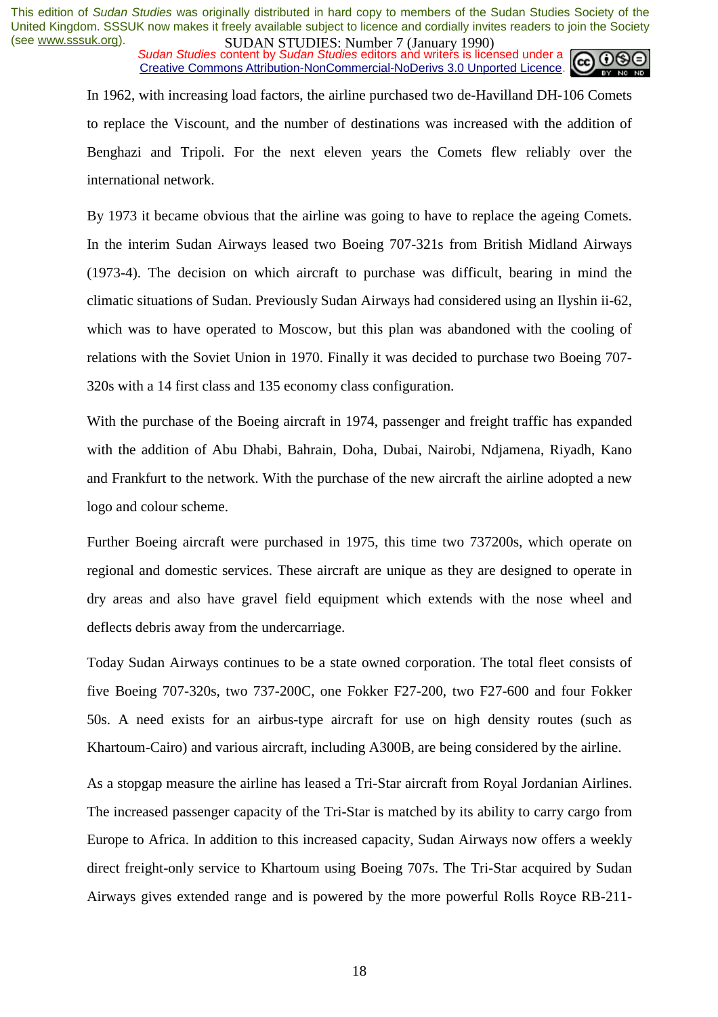*Sudan Studies* content by *Sudan Studies* editors and writers is licensed under a Creative Commons Attribution-NonCommercial-NoDerivs 3.0 Unported Licence.



In 1962, with increasing load factors, the airline purchased two de-Havilland DH-106 Comets to replace the Viscount, and the number of destinations was increased with the addition of Benghazi and Tripoli. For the next eleven years the Comets flew reliably over the international network.

By 1973 it became obvious that the airline was going to have to replace the ageing Comets. In the interim Sudan Airways leased two Boeing 707-321s from British Midland Airways (1973-4). The decision on which aircraft to purchase was difficult, bearing in mind the climatic situations of Sudan. Previously Sudan Airways had considered using an Ilyshin ii-62, which was to have operated to Moscow, but this plan was abandoned with the cooling of relations with the Soviet Union in 1970. Finally it was decided to purchase two Boeing 707- 320s with a 14 first class and 135 economy class configuration.

With the purchase of the Boeing aircraft in 1974, passenger and freight traffic has expanded with the addition of Abu Dhabi, Bahrain, Doha, Dubai, Nairobi, Ndjamena, Riyadh, Kano and Frankfurt to the network. With the purchase of the new aircraft the airline adopted a new logo and colour scheme.

Further Boeing aircraft were purchased in 1975, this time two 737200s, which operate on regional and domestic services. These aircraft are unique as they are designed to operate in dry areas and also have gravel field equipment which extends with the nose wheel and deflects debris away from the undercarriage.

Today Sudan Airways continues to be a state owned corporation. The total fleet consists of five Boeing 707-320s, two 737-200C, one Fokker F27-200, two F27-600 and four Fokker 50s. A need exists for an airbus-type aircraft for use on high density routes (such as Khartoum-Cairo) and various aircraft, including A300B, are being considered by the airline.

As a stopgap measure the airline has leased a Tri-Star aircraft from Royal Jordanian Airlines. The increased passenger capacity of the Tri-Star is matched by its ability to carry cargo from Europe to Africa. In addition to this increased capacity, Sudan Airways now offers a weekly direct freight-only service to Khartoum using Boeing 707s. The Tri-Star acquired by Sudan Airways gives extended range and is powered by the more powerful Rolls Royce RB-211-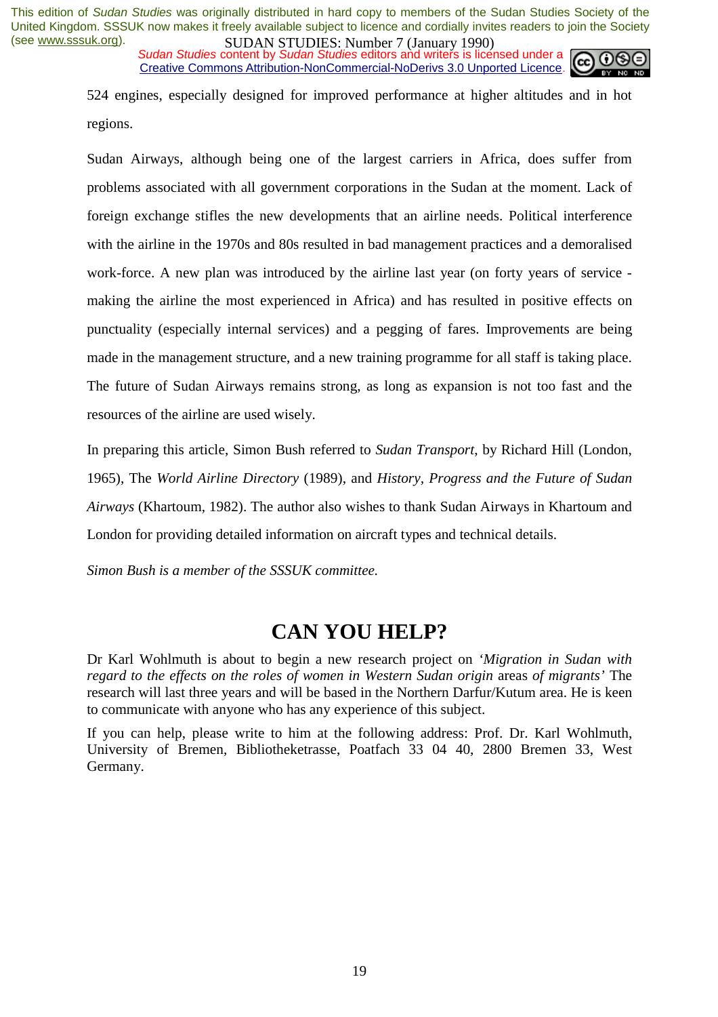**SUDAN STUDIES. NUTTLES** (January 1770)<br>Sudan Studies content by Sudan Studies editors and writers is licensed under a Creative Commons Attribution-NonCommercial-NoDerivs 3.0 Unported Licence.



524 engines, especially designed for improved performance at higher altitudes and in hot regions.

Sudan Airways, although being one of the largest carriers in Africa, does suffer from problems associated with all government corporations in the Sudan at the moment. Lack of foreign exchange stifles the new developments that an airline needs. Political interference with the airline in the 1970s and 80s resulted in bad management practices and a demoralised work-force. A new plan was introduced by the airline last year (on forty years of service making the airline the most experienced in Africa) and has resulted in positive effects on punctuality (especially internal services) and a pegging of fares. Improvements are being made in the management structure, and a new training programme for all staff is taking place. The future of Sudan Airways remains strong, as long as expansion is not too fast and the resources of the airline are used wisely.

In preparing this article, Simon Bush referred to *Sudan Transport*, by Richard Hill (London, 1965), The *World Airline Directory* (1989), and *History, Progress and the Future of Sudan Airways* (Khartoum, 1982). The author also wishes to thank Sudan Airways in Khartoum and London for providing detailed information on aircraft types and technical details.

*Simon Bush is a member of the SSSUK committee.*

## **CAN YOU HELP?**

Dr Karl Wohlmuth is about to begin a new research project on *'Migration in Sudan with regard to the effects on the roles of women in Western Sudan origin areas of migrants'* The research will last three years and will be based in the Northern Darfur/Kutum area. He is keen to communicate with anyone who has any experience of this subject.

If you can help, please write to him at the following address: Prof. Dr. Karl Wohlmuth, University of Bremen, Bibliotheketrasse, Poatfach 33 04 40, 2800 Bremen 33, West Germany.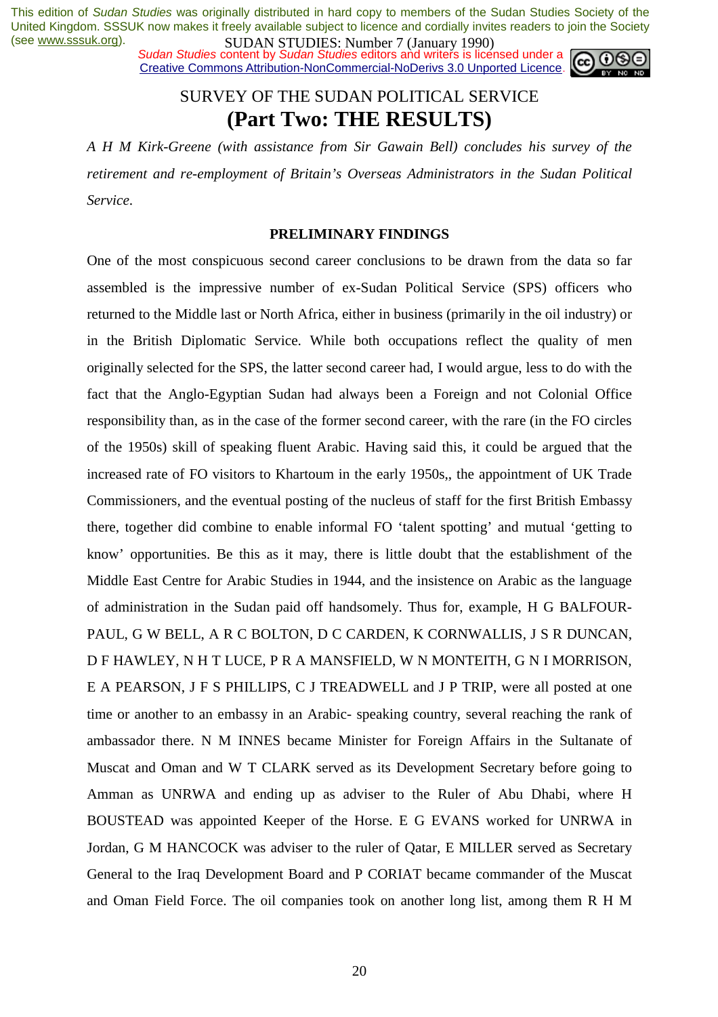**SUDAN STUDIES. NUTTLES** (January 1770)<br>Sudan Studies content by Sudan Studies editors and writers is licensed under a Creative Commons Attribution-NonCommercial-NoDerivs 3.0 Unported Licence.



## SURVEY OF THE SUDAN POLITICAL SERVICE **(Part Two: THE RESULTS)**

*A H M Kirk-Greene (with assistance from Sir Gawain Bell) concludes his survey of the retirement and re-employment of Britain's Overseas Administrators in the Sudan Political Service*.

## **PRELIMINARY FINDINGS**

One of the most conspicuous second career conclusions to be drawn from the data so far assembled is the impressive number of ex-Sudan Political Service (SPS) officers who returned to the Middle last or North Africa, either in business (primarily in the oil industry) or in the British Diplomatic Service. While both occupations reflect the quality of men originally selected for the SPS, the latter second career had, I would argue, less to do with the fact that the Anglo-Egyptian Sudan had always been a Foreign and not Colonial Office responsibility than, as in the case of the former second career, with the rare (in the FO circles of the 1950s) skill of speaking fluent Arabic. Having said this, it could be argued that the increased rate of FO visitors to Khartoum in the early 1950s,, the appointment of UK Trade Commissioners, and the eventual posting of the nucleus of staff for the first British Embassy there, together did combine to enable informal FO 'talent spotting' and mutual 'getting to know' opportunities. Be this as it may, there is little doubt that the establishment of the Middle East Centre for Arabic Studies in 1944, and the insistence on Arabic as the language of administration in the Sudan paid off handsomely. Thus for, example, H G BALFOUR-PAUL, G W BELL, A R C BOLTON, D C CARDEN, K CORNWALLIS, J S R DUNCAN, D F HAWLEY, N H T LUCE, P R A MANSFIELD, W N MONTEITH, G N I MORRISON, E A PEARSON, J F S PHILLIPS, C J TREADWELL and J P TRIP, were all posted at one time or another to an embassy in an Arabic- speaking country, several reaching the rank of ambassador there. N M INNES became Minister for Foreign Affairs in the Sultanate of Muscat and Oman and W T CLARK served as its Development Secretary before going to Amman as UNRWA and ending up as adviser to the Ruler of Abu Dhabi, where H BOUSTEAD was appointed Keeper of the Horse. E G EVANS worked for UNRWA in Jordan, G M HANCOCK was adviser to the ruler of Qatar, E MILLER served as Secretary General to the Iraq Development Board and P CORIAT became commander of the Muscat and Oman Field Force. The oil companies took on another long list, among them R H M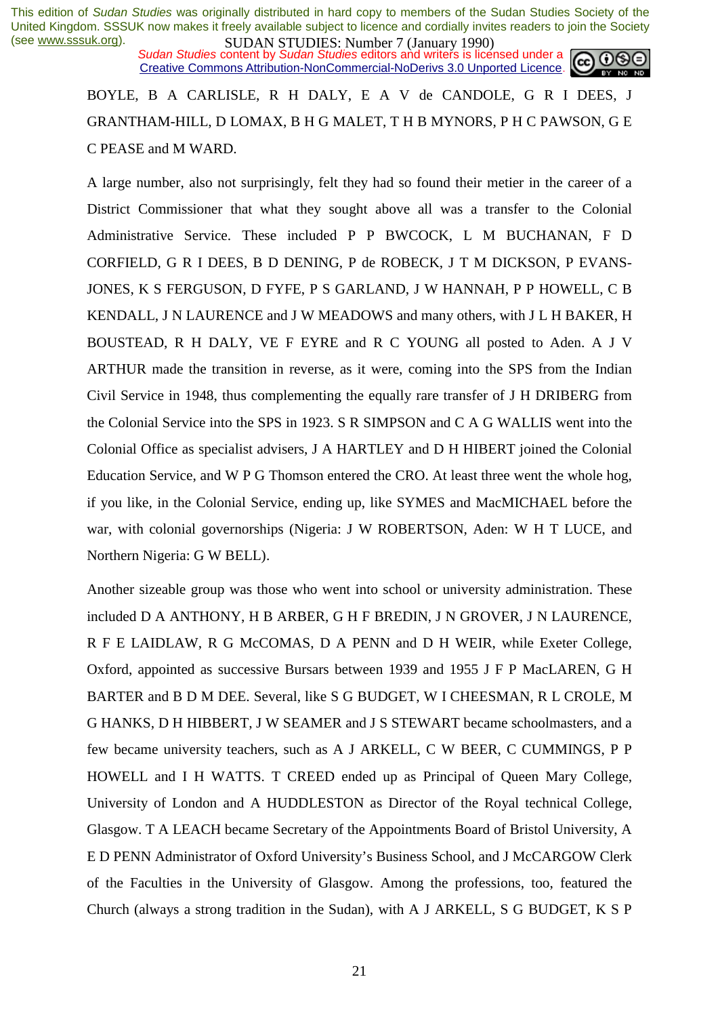**SUDAN STUDES.** INDEX *I* Gangary 1220, Sudan Studies content by *Sudan Studies* editors and writers is licensed under a **CC O** Creative Commons Attribution-NonCommercial-NoDerivs 3.0 Unported Licence.

BOYLE, B A CARLISLE, R H DALY, E A V de CANDOLE, G R I DEES, J GRANTHAM-HILL, D LOMAX, B H G MALET, T H B MYNORS, P H C PAWSON, G E C PEASE and M WARD.

A large number, also not surprisingly, felt they had so found their metier in the career of a District Commissioner that what they sought above all was a transfer to the Colonial Administrative Service. These included P P BWCOCK, L M BUCHANAN, F D CORFIELD, G R I DEES, B D DENING, P de ROBECK, J T M DICKSON, P EVANS-JONES, K S FERGUSON, D FYFE, P S GARLAND, J W HANNAH, P P HOWELL, C B KENDALL, J N LAURENCE and J W MEADOWS and many others, with J L H BAKER, H BOUSTEAD, R H DALY, VE F EYRE and R C YOUNG all posted to Aden. A J V ARTHUR made the transition in reverse, as it were, coming into the SPS from the Indian Civil Service in 1948, thus complementing the equally rare transfer of J H DRIBERG from the Colonial Service into the SPS in 1923. S R SIMPSON and C A G WALLIS went into the Colonial Office as specialist advisers, J A HARTLEY and D H HIBERT joined the Colonial Education Service, and W P G Thomson entered the CRO. At least three went the whole hog, if you like, in the Colonial Service, ending up, like SYMES and MacMICHAEL before the war, with colonial governorships (Nigeria: J W ROBERTSON, Aden: W H T LUCE, and Northern Nigeria: G W BELL).

Another sizeable group was those who went into school or university administration. These included D A ANTHONY, H B ARBER, G H F BREDIN, J N GROVER, J N LAURENCE, R F E LAIDLAW, R G McCOMAS, D A PENN and D H WEIR, while Exeter College, Oxford, appointed as successive Bursars between 1939 and 1955 J F P MacLAREN, G H BARTER and B D M DEE. Several, like S G BUDGET, W I CHEESMAN, R L CROLE, M G HANKS, D H HIBBERT, J W SEAMER and J S STEWART became schoolmasters, and a few became university teachers, such as A J ARKELL, C W BEER, C CUMMINGS, P P HOWELL and I H WATTS. T CREED ended up as Principal of Queen Mary College, University of London and A HUDDLESTON as Director of the Royal technical College, Glasgow. T A LEACH became Secretary of the Appointments Board of Bristol University, A E D PENN Administrator of Oxford University's Business School, and J McCARGOW Clerk of the Faculties in the University of Glasgow. Among the professions, too, featured the Church (always a strong tradition in the Sudan), with A J ARKELL, S G BUDGET, K S P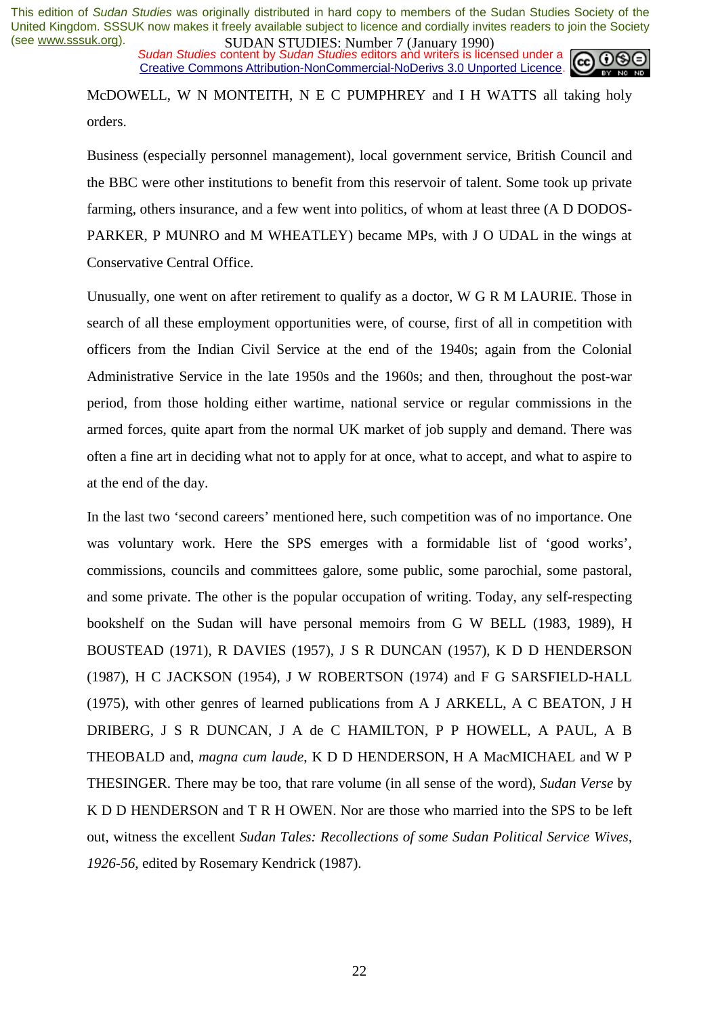**SUDAN STUDIES. NUTTLES** (January 1770)<br>Sudan Studies content by Sudan Studies editors and writers is licensed under a Creative Commons Attribution-NonCommercial-NoDerivs 3.0 Unported Licence.



McDOWELL, W N MONTEITH, N E C PUMPHREY and I H WATTS all taking holy orders.

Business (especially personnel management), local government service, British Council and the BBC were other institutions to benefit from this reservoir of talent. Some took up private farming, others insurance, and a few went into politics, of whom at least three (A D DODOS-PARKER, P MUNRO and M WHEATLEY) became MPs, with J O UDAL in the wings at Conservative Central Office.

Unusually, one went on after retirement to qualify as a doctor, W G R M LAURIE. Those in search of all these employment opportunities were, of course, first of all in competition with officers from the Indian Civil Service at the end of the 1940s; again from the Colonial Administrative Service in the late 1950s and the 1960s; and then, throughout the post-war period, from those holding either wartime, national service or regular commissions in the armed forces, quite apart from the normal UK market of job supply and demand. There was often a fine art in deciding what not to apply for at once, what to accept, and what to aspire to at the end of the day.

In the last two 'second careers' mentioned here, such competition was of no importance. One was voluntary work. Here the SPS emerges with a formidable list of 'good works', commissions, councils and committees galore, some public, some parochial, some pastoral, and some private. The other is the popular occupation of writing. Today, any self-respecting bookshelf on the Sudan will have personal memoirs from G W BELL (1983, 1989), H BOUSTEAD (1971), R DAVIES (1957), J S R DUNCAN (1957), K D D HENDERSON (1987), H C JACKSON (1954), J W ROBERTSON (1974) and F G SARSFIELD-HALL (1975), with other genres of learned publications from A J ARKELL, A C BEATON, J H DRIBERG, J S R DUNCAN, J A de C HAMILTON, P P HOWELL, A PAUL, A B THEOBALD and, *magna cum laude*, K D D HENDERSON, H A MacMICHAEL and W P THESINGER. There may be too, that rare volume (in all sense of the word), *Sudan Verse* by K D D HENDERSON and T R H OWEN. Nor are those who married into the SPS to be left out, witness the excellent *Sudan Tales: Recollections of some Sudan Political Service Wives, 1926-56*, edited by Rosemary Kendrick (1987).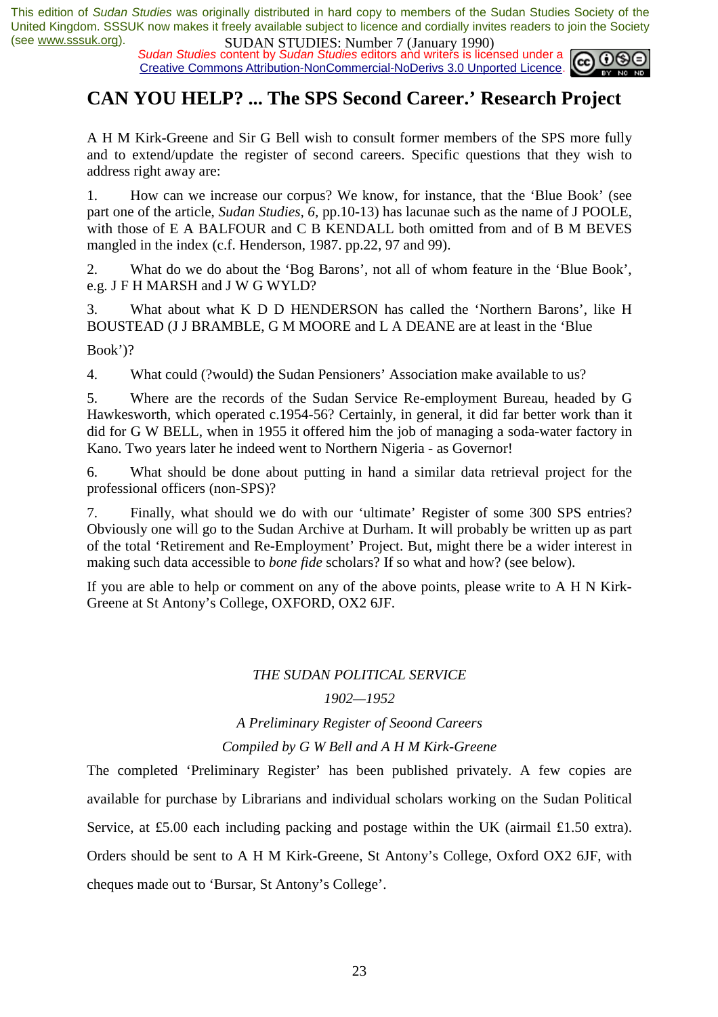*Sudan Studies* content by *Sudan Studies* editors and writers is licensed under a Creative Commons Attribution-NonCommercial-NoDerivs 3.0 Unported Licence.



## **CAN YOU HELP? ... The SPS Second Career.' Research Project**

A H M Kirk-Greene and Sir G Bell wish to consult former members of the SPS more fully and to extend/update the register of second careers. Specific questions that they wish to address right away are:

1. How can we increase our corpus? We know, for instance, that the 'Blue Book' (see part one of the article, *Sudan Studies, 6,* pp.10-13) has lacunae such as the name of J POOLE, with those of E A BALFOUR and C B KENDALL both omitted from and of B M BEVES mangled in the index (c.f. Henderson, 1987. pp.22, 97 and 99).

2. What do we do about the 'Bog Barons', not all of whom feature in the 'Blue Book', e.g. J F H MARSH and J W G WYLD?

3. What about what K D D HENDERSON has called the 'Northern Barons', like H BOUSTEAD (J J BRAMBLE, G M MOORE and L A DEANE are at least in the 'Blue

Book')?

4. What could (?would) the Sudan Pensioners' Association make available to us?

5. Where are the records of the Sudan Service Re-employment Bureau, headed by G Hawkesworth, which operated c.1954-56? Certainly, in general, it did far better work than it did for G W BELL, when in 1955 it offered him the job of managing a soda-water factory in Kano. Two years later he indeed went to Northern Nigeria - as Governor!

6. What should be done about putting in hand a similar data retrieval project for the professional officers (non-SPS)?

7. Finally, what should we do with our 'ultimate' Register of some 300 SPS entries? Obviously one will go to the Sudan Archive at Durham. It will probably be written up as part of the total 'Retirement and Re-Employment' Project. But, might there be a wider interest in making such data accessible to *bone fide* scholars? If so what and how? (see below).

If you are able to help or comment on any of the above points, please write to A H N Kirk-Greene at St Antony's College, OXFORD, OX2 6JF.

## *THE SUDAN POLITICAL SERVICE*

## *1902—1952*

## *A Preliminary Register of Seoond Careers*

## *Compiled by G W Bell and A H M Kirk-Greene*

The completed 'Preliminary Register' has been published privately. A few copies are available for purchase by Librarians and individual scholars working on the Sudan Political Service, at £5.00 each including packing and postage within the UK (airmail £1.50 extra). Orders should be sent to A H M Kirk-Greene, St Antony's College, Oxford OX2 6JF, with cheques made out to 'Bursar, St Antony's College'.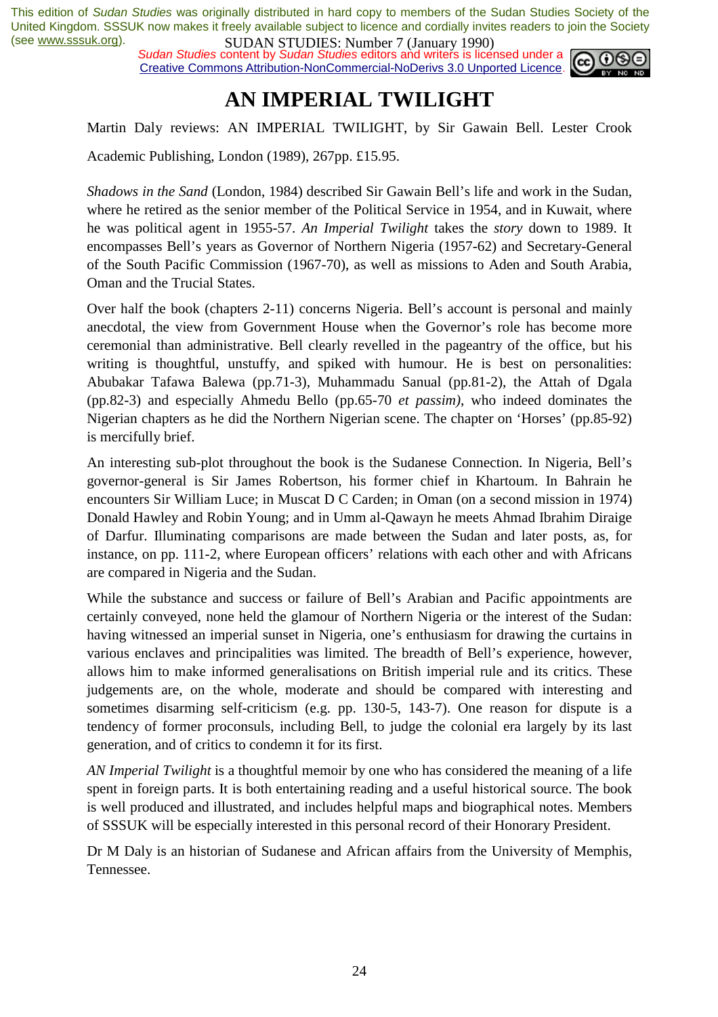*Sudan Studies* content by *Sudan Studies* editors and writers is licensed under a Creative Commons Attribution-NonCommercial-NoDerivs 3.0 Unported Licence.



# **AN IMPERIAL TWILIGHT**

Martin Daly reviews: AN IMPERIAL TWILIGHT, by Sir Gawain Bell. Lester Crook

Academic Publishing, London (1989), 267pp. £15.95.

*Shadows in the Sand* (London, 1984) described Sir Gawain Bell's life and work in the Sudan, where he retired as the senior member of the Political Service in 1954, and in Kuwait, where he was political agent in 1955-57. *An Imperial Twilight* takes the *story* down to 1989. It encompasses Bell's years as Governor of Northern Nigeria (1957-62) and Secretary-General of the South Pacific Commission (1967-70), as well as missions to Aden and South Arabia, Oman and the Trucial States.

Over half the book (chapters 2-11) concerns Nigeria. Bell's account is personal and mainly anecdotal, the view from Government House when the Governor's role has become more ceremonial than administrative. Bell clearly revelled in the pageantry of the office, but his writing is thoughtful, unstuffy, and spiked with humour. He is best on personalities: Abubakar Tafawa Balewa (pp.71-3), Muhammadu Sanual (pp.81-2), the Attah of Dgala (pp.82-3) and especially Ahmedu Bello (pp.65-70 *et passim)*, who indeed dominates the Nigerian chapters as he did the Northern Nigerian scene. The chapter on 'Horses' (pp.85-92) is mercifully brief.

An interesting sub-plot throughout the book is the Sudanese Connection. In Nigeria, Bell's governor-general is Sir James Robertson, his former chief in Khartoum. In Bahrain he encounters Sir William Luce; in Muscat D C Carden; in Oman (on a second mission in 1974) Donald Hawley and Robin Young; and in Umm al-Qawayn he meets Ahmad Ibrahim Diraige of Darfur. Illuminating comparisons are made between the Sudan and later posts, as, for instance, on pp. 111-2, where European officers' relations with each other and with Africans are compared in Nigeria and the Sudan.

While the substance and success or failure of Bell's Arabian and Pacific appointments are certainly conveyed, none held the glamour of Northern Nigeria or the interest of the Sudan: having witnessed an imperial sunset in Nigeria, one's enthusiasm for drawing the curtains in various enclaves and principalities was limited. The breadth of Bell's experience, however, allows him to make informed generalisations on British imperial rule and its critics. These judgements are, on the whole, moderate and should be compared with interesting and sometimes disarming self-criticism (e.g. pp. 130-5, 143-7). One reason for dispute is a tendency of former proconsuls, including Bell, to judge the colonial era largely by its last generation, and of critics to condemn it for its first.

*AN Imperial Twilight* is a thoughtful memoir by one who has considered the meaning of a life spent in foreign parts. It is both entertaining reading and a useful historical source. The book is well produced and illustrated, and includes helpful maps and biographical notes. Members of SSSUK will be especially interested in this personal record of their Honorary President.

Dr M Daly is an historian of Sudanese and African affairs from the University of Memphis, Tennessee.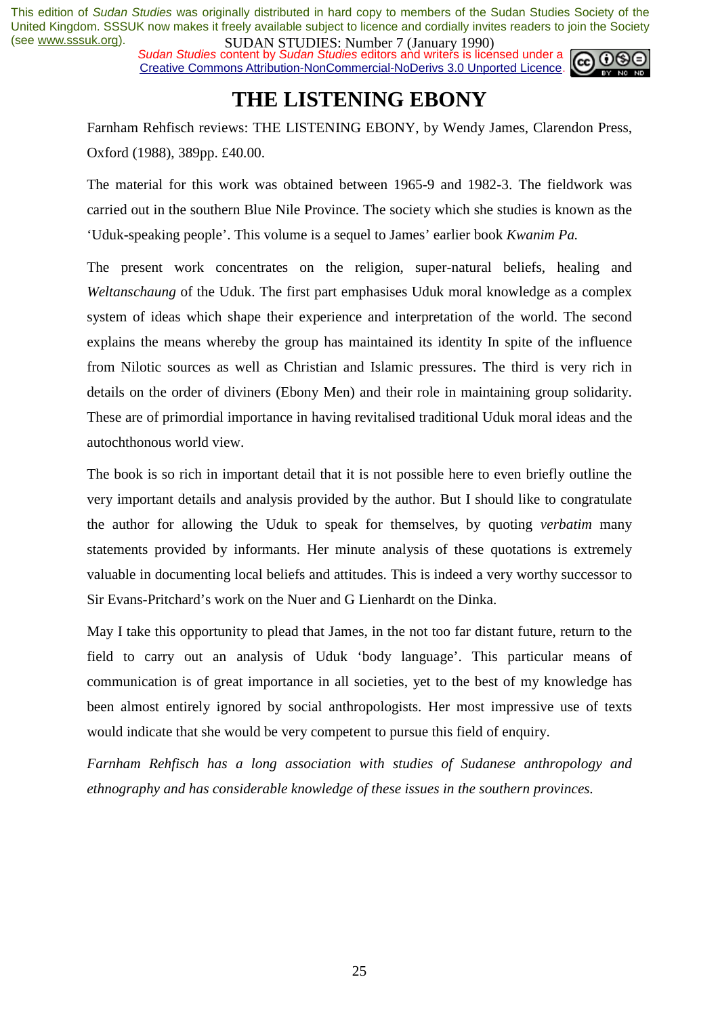**SUDAN STUDES:** Produce *t* (*sangay 1770*)<br>Sudan Studies content by Sudan Studies editors and writers is licensed under a Creative Commons Attribution-NonCommercial-NoDerivs 3.0 Unported Licence.



# **THE LISTENING EBONY**

Farnham Rehfisch reviews: THE LISTENING EBONY, by Wendy James, Clarendon Press, Oxford (1988), 389pp. £40.00.

The material for this work was obtained between 1965-9 and 1982-3. The fieldwork was carried out in the southern Blue Nile Province. The society which she studies is known as the 'Uduk-speaking people'. This volume is a sequel to James' earlier book *Kwanim Pa.* 

The present work concentrates on the religion, super-natural beliefs, healing and *Weltanschaung* of the Uduk. The first part emphasises Uduk moral knowledge as a complex system of ideas which shape their experience and interpretation of the world. The second explains the means whereby the group has maintained its identity In spite of the influence from Nilotic sources as well as Christian and Islamic pressures. The third is very rich in details on the order of diviners (Ebony Men) and their role in maintaining group solidarity. These are of primordial importance in having revitalised traditional Uduk moral ideas and the autochthonous world view.

The book is so rich in important detail that it is not possible here to even briefly outline the very important details and analysis provided by the author. But I should like to congratulate the author for allowing the Uduk to speak for themselves, by quoting *verbatim* many statements provided by informants. Her minute analysis of these quotations is extremely valuable in documenting local beliefs and attitudes. This is indeed a very worthy successor to Sir Evans-Pritchard's work on the Nuer and G Lienhardt on the Dinka.

May I take this opportunity to plead that James, in the not too far distant future, return to the field to carry out an analysis of Uduk 'body language'. This particular means of communication is of great importance in all societies, yet to the best of my knowledge has been almost entirely ignored by social anthropologists. Her most impressive use of texts would indicate that she would be very competent to pursue this field of enquiry.

*Farnham Rehfisch has a long association with studies of Sudanese anthropology and ethnography and has considerable knowledge of these issues in the southern provinces.*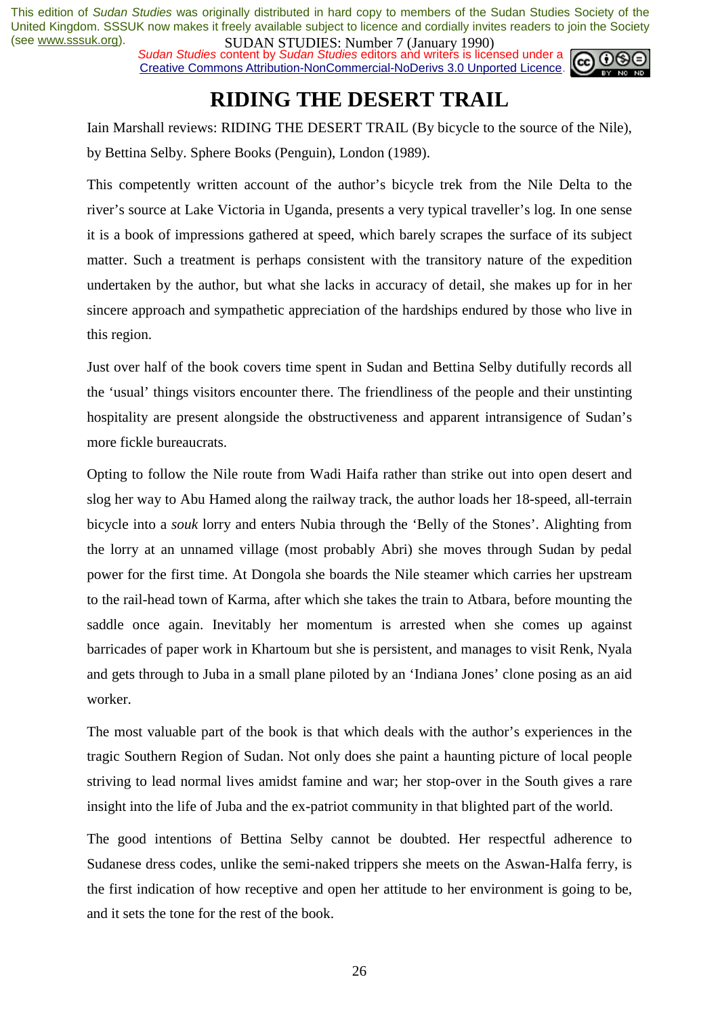*Sudan Studies* content by *Sudan Studies* editors and writers is licensed under a Creative Commons Attribution-NonCommercial-NoDerivs 3.0 Unported Licence.



# **RIDING THE DESERT TRAIL**

Iain Marshall reviews: RIDING THE DESERT TRAIL (By bicycle to the source of the Nile), by Bettina Selby. Sphere Books (Penguin), London (1989).

This competently written account of the author's bicycle trek from the Nile Delta to the river's source at Lake Victoria in Uganda, presents a very typical traveller's log. In one sense it is a book of impressions gathered at speed, which barely scrapes the surface of its subject matter. Such a treatment is perhaps consistent with the transitory nature of the expedition undertaken by the author, but what she lacks in accuracy of detail, she makes up for in her sincere approach and sympathetic appreciation of the hardships endured by those who live in this region.

Just over half of the book covers time spent in Sudan and Bettina Selby dutifully records all the 'usual' things visitors encounter there. The friendliness of the people and their unstinting hospitality are present alongside the obstructiveness and apparent intransigence of Sudan's more fickle bureaucrats.

Opting to follow the Nile route from Wadi Haifa rather than strike out into open desert and slog her way to Abu Hamed along the railway track, the author loads her 18-speed, all-terrain bicycle into a *souk* lorry and enters Nubia through the 'Belly of the Stones'. Alighting from the lorry at an unnamed village (most probably Abri) she moves through Sudan by pedal power for the first time. At Dongola she boards the Nile steamer which carries her upstream to the rail-head town of Karma, after which she takes the train to Atbara, before mounting the saddle once again. Inevitably her momentum is arrested when she comes up against barricades of paper work in Khartoum but she is persistent, and manages to visit Renk, Nyala and gets through to Juba in a small plane piloted by an 'Indiana Jones' clone posing as an aid worker.

The most valuable part of the book is that which deals with the author's experiences in the tragic Southern Region of Sudan. Not only does she paint a haunting picture of local people striving to lead normal lives amidst famine and war; her stop-over in the South gives a rare insight into the life of Juba and the ex-patriot community in that blighted part of the world.

The good intentions of Bettina Selby cannot be doubted. Her respectful adherence to Sudanese dress codes, unlike the semi-naked trippers she meets on the Aswan-Halfa ferry, is the first indication of how receptive and open her attitude to her environment is going to be, and it sets the tone for the rest of the book.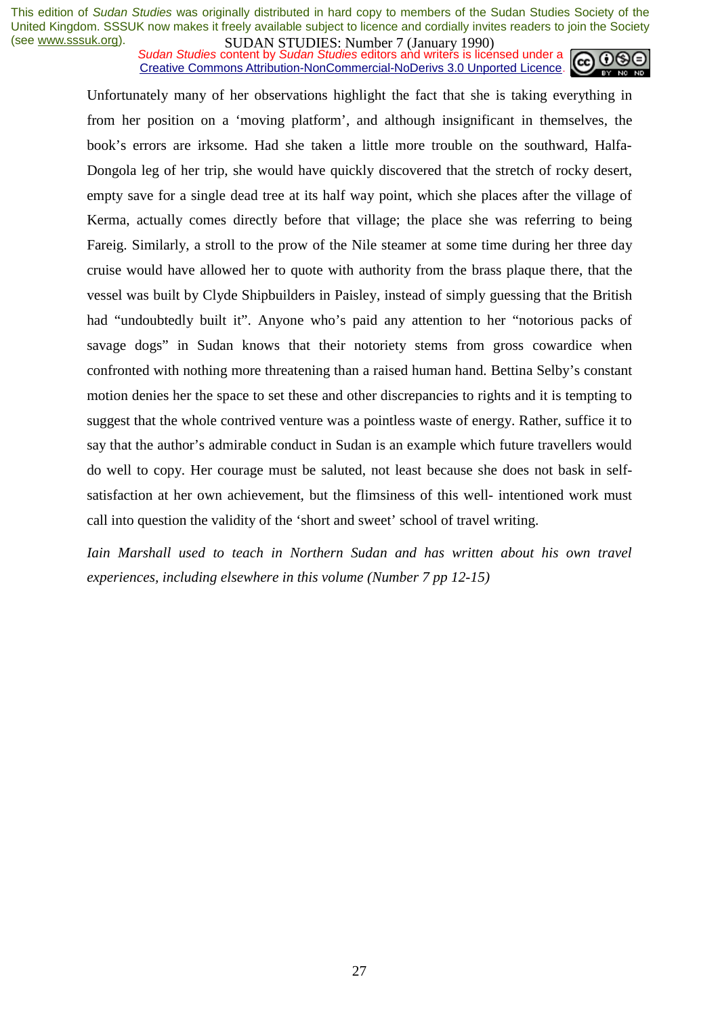**SUDAN STUDIES:** Number *1* (January 1770)<br>Sudan Studies content by Sudan Studies editors and writers is licensed under a **cc Cc** Creative Commons Attribution-NonCommercial-NoDerivs 3.0 Unported Licence.



Unfortunately many of her observations highlight the fact that she is taking everything in from her position on a 'moving platform', and although insignificant in themselves, the book's errors are irksome. Had she taken a little more trouble on the southward, Halfa-Dongola leg of her trip, she would have quickly discovered that the stretch of rocky desert, empty save for a single dead tree at its half way point, which she places after the village of Kerma, actually comes directly before that village; the place she was referring to being Fareig. Similarly, a stroll to the prow of the Nile steamer at some time during her three day cruise would have allowed her to quote with authority from the brass plaque there, that the vessel was built by Clyde Shipbuilders in Paisley, instead of simply guessing that the British had "undoubtedly built it". Anyone who's paid any attention to her "notorious packs of savage dogs" in Sudan knows that their notoriety stems from gross cowardice when confronted with nothing more threatening than a raised human hand. Bettina Selby's constant motion denies her the space to set these and other discrepancies to rights and it is tempting to suggest that the whole contrived venture was a pointless waste of energy. Rather, suffice it to say that the author's admirable conduct in Sudan is an example which future travellers would do well to copy. Her courage must be saluted, not least because she does not bask in selfsatisfaction at her own achievement, but the flimsiness of this well- intentioned work must call into question the validity of the 'short and sweet' school of travel writing.

*Iain Marshall used to teach in Northern Sudan and has written about his own travel experiences, including elsewhere in this volume (Number 7 pp 12-15)*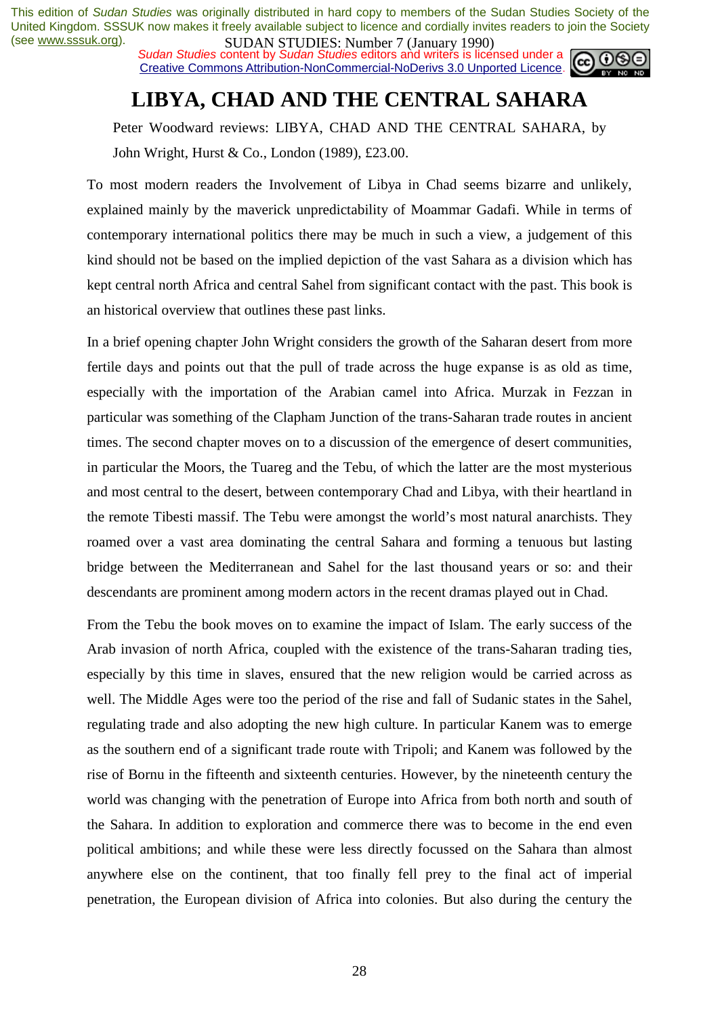**SUDAN STUDIES**: Number *I* (January 1770)<br>Sudan Studies content by Sudan Studies editors and writers is licensed under a Creative Commons Attribution-NonCommercial-NoDerivs 3.0 Unported Licence.



# **LIBYA, CHAD AND THE CENTRAL SAHARA**

Peter Woodward reviews: LIBYA, CHAD AND THE CENTRAL SAHARA, by John Wright, Hurst & Co., London (1989), £23.00.

To most modern readers the Involvement of Libya in Chad seems bizarre and unlikely, explained mainly by the maverick unpredictability of Moammar Gadafi. While in terms of contemporary international politics there may be much in such a view, a judgement of this kind should not be based on the implied depiction of the vast Sahara as a division which has kept central north Africa and central Sahel from significant contact with the past. This book is an historical overview that outlines these past links.

In a brief opening chapter John Wright considers the growth of the Saharan desert from more fertile days and points out that the pull of trade across the huge expanse is as old as time, especially with the importation of the Arabian camel into Africa. Murzak in Fezzan in particular was something of the Clapham Junction of the trans-Saharan trade routes in ancient times. The second chapter moves on to a discussion of the emergence of desert communities, in particular the Moors, the Tuareg and the Tebu, of which the latter are the most mysterious and most central to the desert, between contemporary Chad and Libya, with their heartland in the remote Tibesti massif. The Tebu were amongst the world's most natural anarchists. They roamed over a vast area dominating the central Sahara and forming a tenuous but lasting bridge between the Mediterranean and Sahel for the last thousand years or so: and their descendants are prominent among modern actors in the recent dramas played out in Chad.

From the Tebu the book moves on to examine the impact of Islam. The early success of the Arab invasion of north Africa, coupled with the existence of the trans-Saharan trading ties, especially by this time in slaves, ensured that the new religion would be carried across as well. The Middle Ages were too the period of the rise and fall of Sudanic states in the Sahel, regulating trade and also adopting the new high culture. In particular Kanem was to emerge as the southern end of a significant trade route with Tripoli; and Kanem was followed by the rise of Bornu in the fifteenth and sixteenth centuries. However, by the nineteenth century the world was changing with the penetration of Europe into Africa from both north and south of the Sahara. In addition to exploration and commerce there was to become in the end even political ambitions; and while these were less directly focussed on the Sahara than almost anywhere else on the continent, that too finally fell prey to the final act of imperial penetration, the European division of Africa into colonies. But also during the century the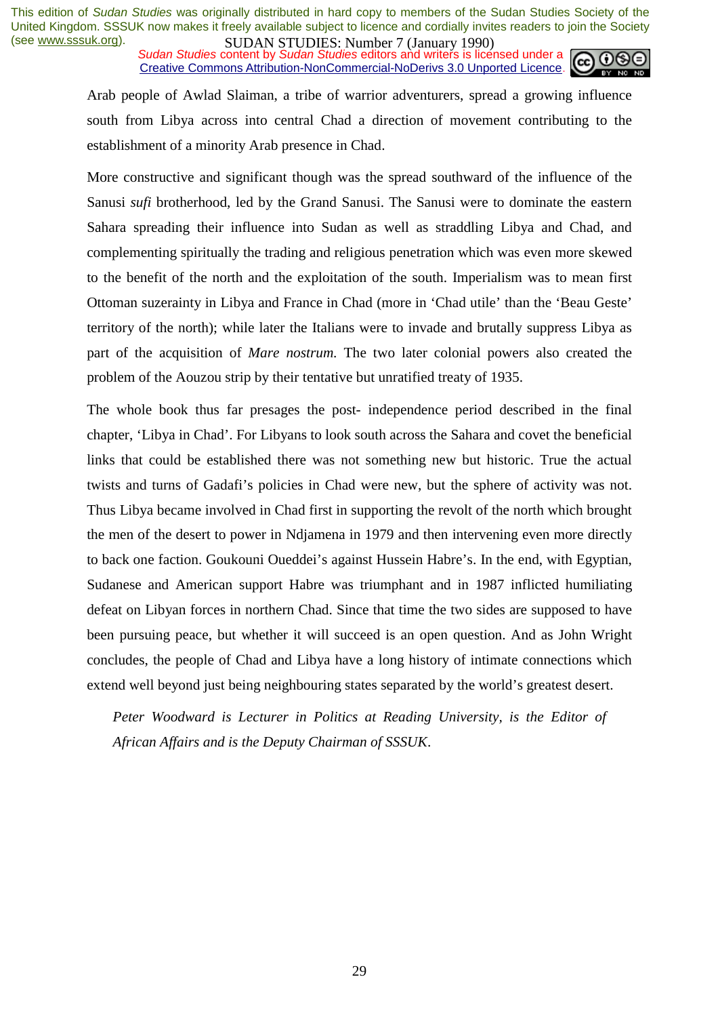**SUDAN STUDIES. NUTTER / Gangary 1770)**<br>Sudan Studies content by Sudan Studies editors and writers is licensed under a Creative Commons Attribution-NonCommercial-NoDerivs 3.0 Unported Licence.



Arab people of Awlad Slaiman, a tribe of warrior adventurers, spread a growing influence south from Libya across into central Chad a direction of movement contributing to the establishment of a minority Arab presence in Chad.

More constructive and significant though was the spread southward of the influence of the Sanusi *sufi* brotherhood, led by the Grand Sanusi. The Sanusi were to dominate the eastern Sahara spreading their influence into Sudan as well as straddling Libya and Chad, and complementing spiritually the trading and religious penetration which was even more skewed to the benefit of the north and the exploitation of the south. Imperialism was to mean first Ottoman suzerainty in Libya and France in Chad (more in 'Chad utile' than the 'Beau Geste' territory of the north); while later the Italians were to invade and brutally suppress Libya as part of the acquisition of *Mare nostrum.* The two later colonial powers also created the problem of the Aouzou strip by their tentative but unratified treaty of 1935.

The whole book thus far presages the post- independence period described in the final chapter, 'Libya in Chad'. For Libyans to look south across the Sahara and covet the beneficial links that could be established there was not something new but historic. True the actual twists and turns of Gadafi's policies in Chad were new, but the sphere of activity was not. Thus Libya became involved in Chad first in supporting the revolt of the north which brought the men of the desert to power in Ndjamena in 1979 and then intervening even more directly to back one faction. Goukouni Oueddei's against Hussein Habre's. In the end, with Egyptian, Sudanese and American support Habre was triumphant and in 1987 inflicted humiliating defeat on Libyan forces in northern Chad. Since that time the two sides are supposed to have been pursuing peace, but whether it will succeed is an open question. And as John Wright concludes, the people of Chad and Libya have a long history of intimate connections which extend well beyond just being neighbouring states separated by the world's greatest desert.

*Peter Woodward is Lecturer in Politics at Reading University, is the Editor of African Affairs and is the Deputy Chairman of SSSUK*.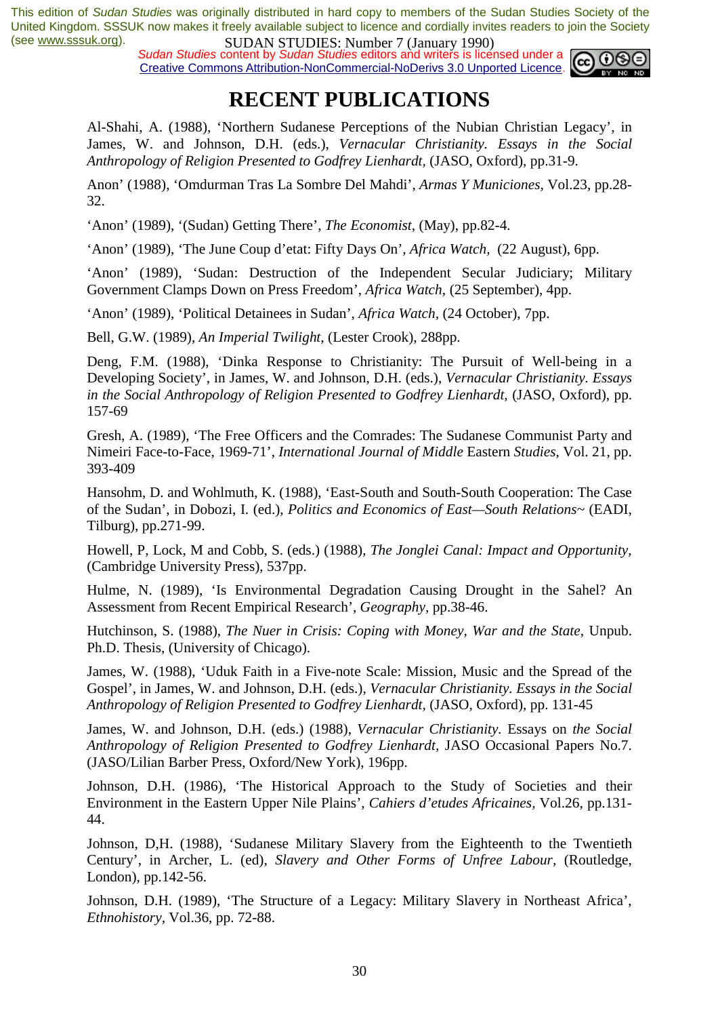**SUDAN STUDES:** Number 7 (January 1779)<br>Sudan Studies content by Sudan Studies editors and writers is licensed under a Creative Commons Attribution-NonCommercial-NoDerivs 3.0 Unported Licence.



# **RECENT PUBLICATIONS**

Al-Shahi, A. (1988), 'Northern Sudanese Perceptions of the Nubian Christian Legacy', in James, W. and Johnson, D.H. (eds.), *Vernacular Christianity. Essays in the Social Anthropology of Religion Presented to Godfrey Lienhardt,* (JASO, Oxford), pp.31-9.

Anon' (1988), 'Omdurman Tras La Sombre Del Mahdi', *Armas Y Municiones,* Vol.23, pp.28- 32.

'Anon' (1989), '(Sudan) Getting There', *The Economist,* (May), pp.82-4.

'Anon' (1989), 'The June Coup d'etat: Fifty Days On', *Africa Watch,* (22 August), 6pp.

'Anon' (1989), 'Sudan: Destruction of the Independent Secular Judiciary; Military Government Clamps Down on Press Freedom', *Africa Watch,* (25 September), 4pp.

'Anon' (1989), 'Political Detainees in Sudan', *Africa Watch,* (24 October), 7pp.

Bell, G.W. (1989), *An Imperial Twilight,* (Lester Crook), 288pp.

Deng, F.M. (1988), 'Dinka Response to Christianity: The Pursuit of Well-being in a Developing Society', in James, W. and Johnson, D.H. (eds.), *Vernacular Christianity. Essays in the Social Anthropology of Religion Presented to Godfrey Lienhardt, (JASO, Oxford), pp.* 157-69

Gresh, A. (1989), 'The Free Officers and the Comrades: The Sudanese Communist Party and Nimeiri Face-to-Face, 1969-71', *International Journal of Middle* Eastern *Studies,* Vol. 21, pp. 393-409

Hansohm, D. and Wohlmuth, K. (1988), 'East-South and South-South Cooperation: The Case of the Sudan', in Dobozi, I. (ed.), *Politics and Economics of East—South Relations~* (EADI, Tilburg), pp.271-99.

Howell, P, Lock, M and Cobb, S. (eds.) (1988), *The Jonglei Canal: Impact and Opportunity,*  (Cambridge University Press), 537pp.

Hulme, N. (1989), 'Is Environmental Degradation Causing Drought in the Sahel? An Assessment from Recent Empirical Research', *Geography,* pp.38-46.

Hutchinson, S. (1988), *The Nuer in Crisis: Coping with Money, War and the State, Unpub.* Ph.D. Thesis, (University of Chicago).

James, W. (1988), 'Uduk Faith in a Five-note Scale: Mission, Music and the Spread of the Gospel', in James, W. and Johnson, D.H. (eds.), *Vernacular Christianity. Essays in the Social Anthropology of Religion Presented to Godfrey Lienhardt,* (JASO, Oxford), pp. 131-45

James, W. and Johnson, D.H. (eds.) (1988), *Vernacular Christianity.* Essays on *the Social Anthropology of Religion Presented to Godfrey Lienhardt,* JASO Occasional Papers No.7. (JASO/Lilian Barber Press, Oxford/New York), 196pp.

Johnson, D.H. (1986), 'The Historical Approach to the Study of Societies and their Environment in the Eastern Upper Nile Plains', *Cahiers d'etudes Africaines,* Vol.26, pp.131- 44.

Johnson, D,H. (1988), 'Sudanese Military Slavery from the Eighteenth to the Twentieth Century', in Archer, L. (ed), *Slavery and Other Forms of Unfree Labour,* (Routledge, London), pp.142-56.

Johnson, D.H. (1989), 'The Structure of a Legacy: Military Slavery in Northeast Africa', *Ethnohistory,* Vol.36, pp. 72-88.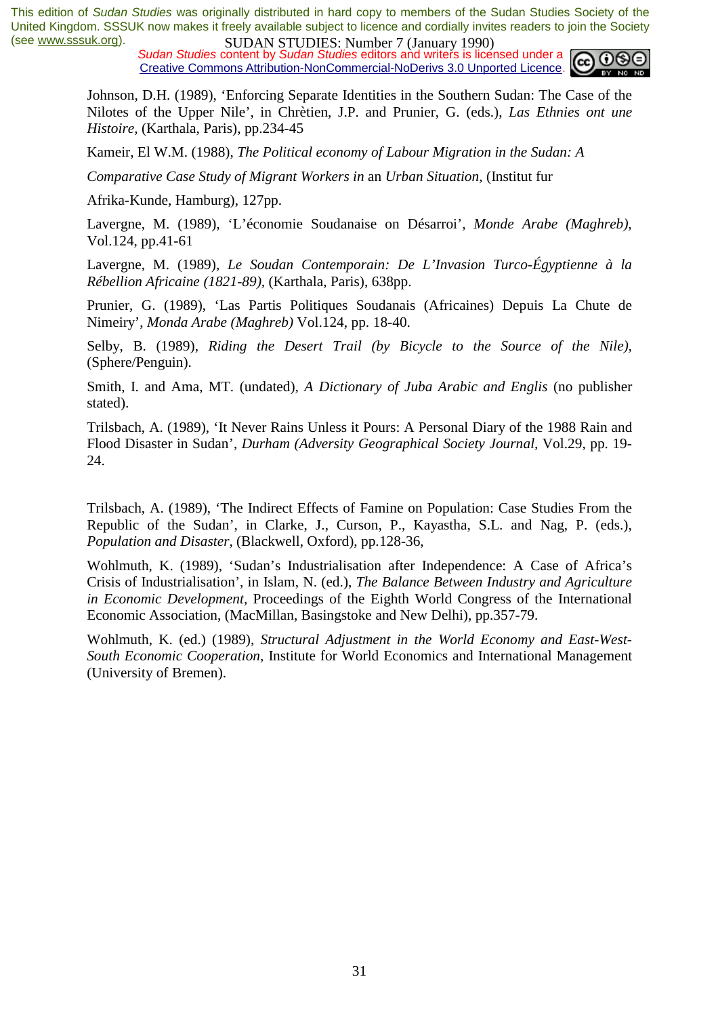**SUDAN STUDIES**: Number *I* (January 1770)<br>Sudan Studies content by Sudan Studies editors and writers is licensed under a Creative Commons Attribution-NonCommercial-NoDerivs 3.0 Unported Licence.



Johnson, D.H. (1989), 'Enforcing Separate Identities in the Southern Sudan: The Case of the Nilotes of the Upper Nile', in Chrètien, J.P. and Prunier, G. (eds.), *Las Ethnies ont une Histoire,* (Karthala, Paris), pp.234-45

Kameir, El W.M. (1988), *The Political economy of Labour Migration in the Sudan: A* 

*Comparative Case Study of Migrant Workers in* an *Urban Situation,* (Institut fur

Afrika-Kunde, Hamburg), 127pp.

Lavergne, M. (1989), 'L'économie Soudanaise on Désarroi', *Monde Arabe (Maghreb),*  Vol.124, pp.41-61

Lavergne, M. (1989), *Le Soudan Contemporain: De L'Invasion Turco-Égyptienne à la Rébellion Africaine (1821-89),* (Karthala, Paris), 638pp.

Prunier, G. (1989), 'Las Partis Politiques Soudanais (Africaines) Depuis La Chute de Nimeiry', *Monda Arabe (Maghreb)* Vol.124, pp. 18-40.

Selby, B. (1989), *Riding the Desert Trail (by Bicycle to the Source of the Nile),*  (Sphere/Penguin).

Smith, I. and Ama, MT. (undated), *A Dictionary of Juba Arabic and Englis* (no publisher stated).

Trilsbach, A. (1989), 'It Never Rains Unless it Pours: A Personal Diary of the 1988 Rain and Flood Disaster in Sudan', *Durham (Adversity Geographical Society Journal,* Vol.29, pp. 19- 24.

Trilsbach, A. (1989), 'The Indirect Effects of Famine on Population: Case Studies From the Republic of the Sudan', in Clarke, J., Curson, P., Kayastha, S.L. and Nag, P. (eds.), *Population and Disaster,* (Blackwell, Oxford), pp.128-36,

Wohlmuth, K. (1989), 'Sudan's Industrialisation after Independence: A Case of Africa's Crisis of Industrialisation', in Islam, N. (ed.), *The Balance Between Industry and Agriculture in Economic Development,* Proceedings of the Eighth World Congress of the International Economic Association, (MacMillan, Basingstoke and New Delhi), pp.357-79.

Wohlmuth, K. (ed.) (1989), *Structural Adjustment in the World Economy and East-West-South Economic Cooperation,* Institute for World Economics and International Management (University of Bremen).